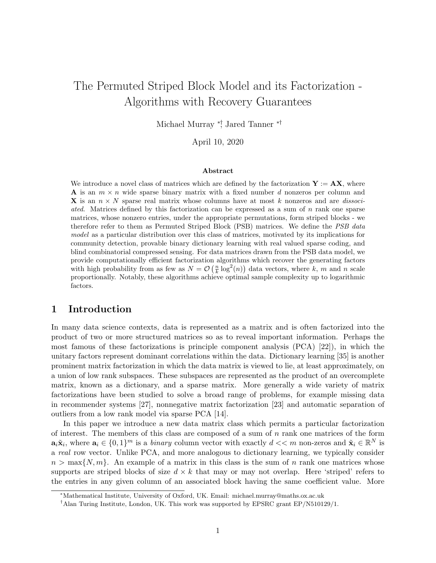# The Permuted Striped Block Model and its Factorization - Algorithms with Recovery Guarantees

Michael Murray ∗†, Jared Tanner ∗†

April 10, 2020

#### Abstract

We introduce a novel class of matrices which are defined by the factorization  $Y := AX$ , where **A** is an  $m \times n$  wide sparse binary matrix with a fixed number d nonzeros per column and **X** is an  $n \times N$  sparse real matrix whose columns have at most k nonzeros and are *dissoci*ated. Matrices defined by this factorization can be expressed as a sum of n rank one sparse matrices, whose nonzero entries, under the appropriate permutations, form striped blocks - we therefore refer to them as Permuted Striped Block (PSB) matrices. We define the *PSB data* model as a particular distribution over this class of matrices, motivated by its implications for community detection, provable binary dictionary learning with real valued sparse coding, and blind combinatorial compressed sensing. For data matrices drawn from the PSB data model, we provide computationally efficient factorization algorithms which recover the generating factors with high probability from as few as  $N = \mathcal{O}\left(\frac{n}{k} \log^2(n)\right)$  data vectors, where k, m and n scale proportionally. Notably, these algorithms achieve optimal sample complexity up to logarithmic factors.

# 1 Introduction

In many data science contexts, data is represented as a matrix and is often factorized into the product of two or more structured matrices so as to reveal important information. Perhaps the most famous of these factorizations is principle component analysis (PCA) [22]), in which the unitary factors represent dominant correlations within the data. Dictionary learning [35] is another prominent matrix factorization in which the data matrix is viewed to lie, at least approximately, on a union of low rank subspaces. These subspaces are represented as the product of an overcomplete matrix, known as a dictionary, and a sparse matrix. More generally a wide variety of matrix factorizations have been studied to solve a broad range of problems, for example missing data in recommender systems [27], nonnegative matrix factorization [23] and automatic separation of outliers from a low rank model via sparse PCA [14].

In this paper we introduce a new data matrix class which permits a particular factorization of interest. The members of this class are composed of a sum of  $n$  rank one matrices of the form  $\mathbf{a}_i \tilde{\mathbf{x}}_i$ , where  $\mathbf{a}_i \in \{0,1\}^m$  is a *binary* column vector with exactly  $d \ll m$  non-zeros and  $\tilde{\mathbf{x}}_i \in \mathbb{R}^N$  is a real row vector. Unlike PCA, and more analogous to dictionary learning, we typically consider  $n > \max\{N, m\}$ . An example of a matrix in this class is the sum of n rank one matrices whose supports are striped blocks of size  $d \times k$  that may or may not overlap. Here 'striped' refers to the entries in any given column of an associated block having the same coefficient value. More

<sup>∗</sup>Mathematical Institute, University of Oxford, UK. Email: michael.murray@maths.ox.ac.uk

<sup>†</sup>Alan Turing Institute, London, UK. This work was supported by EPSRC grant EP/N510129/1.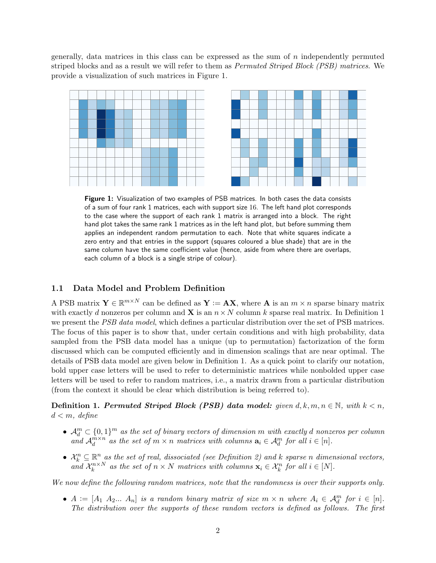generally, data matrices in this class can be expressed as the sum of  $n$  independently permuted striped blocks and as a result we will refer to them as *Permuted Striped Block (PSB) matrices*. We provide a visualization of such matrices in Figure 1.



Figure 1: Visualization of two examples of PSB matrices. In both cases the data consists of a sum of four rank 1 matrices, each with support size 16. The left hand plot corresponds to the case where the support of each rank 1 matrix is arranged into a block. The right hand plot takes the same rank 1 matrices as in the left hand plot, but before summing them applies an independent random permutation to each. Note that white squares indicate a zero entry and that entries in the support (squares coloured a blue shade) that are in the same column have the same coefficient value (hence, aside from where there are overlaps, each column of a block is a single stripe of colour).

#### 1.1 Data Model and Problem Definition

A PSB matrix  $\mathbf{Y} \in \mathbb{R}^{m \times N}$  can be defined as  $\mathbf{Y} := \mathbf{A}\mathbf{X}$ , where  $\mathbf{A}$  is an  $m \times n$  sparse binary matrix with exactly d nonzeros per column and **X** is an  $n \times N$  column k sparse real matrix. In Definition 1 we present the *PSB data model*, which defines a particular distribution over the set of PSB matrices. The focus of this paper is to show that, under certain conditions and with high probability, data sampled from the PSB data model has a unique (up to permutation) factorization of the form discussed which can be computed efficiently and in dimension scalings that are near optimal. The details of PSB data model are given below in Definition 1. As a quick point to clarify our notation, bold upper case letters will be used to refer to deterministic matrices while nonbolded upper case letters will be used to refer to random matrices, i.e., a matrix drawn from a particular distribution (from the context it should be clear which distribution is being referred to).

Definition 1. Permuted Striped Block (PSB) data model: given  $d, k, m, n \in \mathbb{N}$ , with  $k < n$ ,  $d < m$ , define

- $\mathcal{A}_d^m \subset \{0,1\}^m$  as the set of binary vectors of dimension m with exactly d nonzeros per column and  $\mathcal{A}_d^{m \times n}$  $\mathbb{R}^{m \times n}_d$  as the set of  $m \times n$  matrices with columns  $\mathbf{a}_i \in \mathcal{A}_d^m$  for all  $i \in [n]$ .
- $\mathcal{X}_k^n \subseteq \mathbb{R}^n$  as the set of real, dissociated (see Definition 2) and k sparse n dimensional vectors, and  $\mathcal{X}_k^{n \times N}$  $k_{k}^{n\times N}$  as the set of  $n \times N$  matrices with columns  $\mathbf{x}_{i} \in \mathcal{X}_{k}^{n}$  for all  $i \in [N]$ .

We now define the following random matrices, note that the randomness is over their supports only.

•  $A := [A_1 \ A_2 ... \ A_n]$  is a random binary matrix of size  $m \times n$  where  $A_i \in \mathcal{A}_d^m$  for  $i \in [n]$ . The distribution over the supports of these random vectors is defined as follows. The first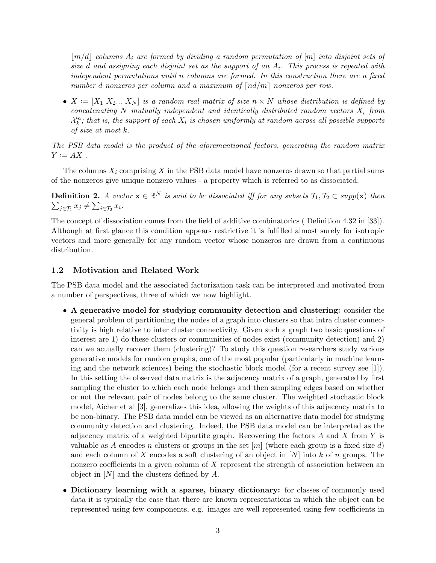$|m/d|$  columns  $A_i$  are formed by dividing a random permutation of [m] into disjoint sets of size d and assigning each disjoint set as the support of an  $A_i$ . This process is repeated with independent permutations until n columns are formed. In this construction there are a fixed number d nonzeros per column and a maximum of  $\lceil nd/m \rceil$  nonzeros per row.

•  $X := [X_1 \ X_2 ... \ X_N]$  is a random real matrix of size  $n \times N$  whose distribution is defined by concatenating  $N$  mutually independent and identically distributed random vectors  $X_i$  from  $\mathcal{X}_k^n$ ; that is, the support of each  $X_i$  is chosen uniformly at random across all possible supports of size at most k.

The PSB data model is the product of the aforementioned factors, generating the random matrix  $Y := AX$ .

The columns  $X_i$  comprising X in the PSB data model have nonzeros drawn so that partial sums of the nonzeros give unique nonzero values - a property which is referred to as dissociated.

**Definition 2.** A vector  $\mathbf{x} \in \mathbb{R}^N$  is said to be dissociated iff for any subsets  $\mathcal{T}_1, \mathcal{T}_2 \subset supp(\mathbf{x})$  then  $\sum_{j\in\mathcal{T}_1} x_j \neq \sum_{i\in\mathcal{T}_2} x_i.$ 

The concept of dissociation comes from the field of additive combinatorics ( Definition 4.32 in [33]). Although at first glance this condition appears restrictive it is fulfilled almost surely for isotropic vectors and more generally for any random vector whose nonzeros are drawn from a continuous distribution.

#### 1.2 Motivation and Related Work

The PSB data model and the associated factorization task can be interpreted and motivated from a number of perspectives, three of which we now highlight.

- A generative model for studying community detection and clustering: consider the general problem of partitioning the nodes of a graph into clusters so that intra cluster connectivity is high relative to inter cluster connectivity. Given such a graph two basic questions of interest are 1) do these clusters or communities of nodes exist (community detection) and 2) can we actually recover them (clustering)? To study this question researchers study various generative models for random graphs, one of the most popular (particularly in machine learning and the network sciences) being the stochastic block model (for a recent survey see [1]). In this setting the observed data matrix is the adjacency matrix of a graph, generated by first sampling the cluster to which each node belongs and then sampling edges based on whether or not the relevant pair of nodes belong to the same cluster. The weighted stochastic block model, Aicher et al [3], generalizes this idea, allowing the weights of this adjacency matrix to be non-binary. The PSB data model can be viewed as an alternative data model for studying community detection and clustering. Indeed, the PSB data model can be interpreted as the adjacency matrix of a weighted bipartite graph. Recovering the factors  $A$  and  $X$  from  $Y$  is valuable as A encodes n clusters or groups in the set  $[m]$  (where each group is a fixed size d) and each column of X encodes a soft clustering of an object in  $[N]$  into k of n groups. The nonzero coefficients in a given column of  $X$  represent the strength of association between an object in  $[N]$  and the clusters defined by A.
- Dictionary learning with a sparse, binary dictionary: for classes of commonly used data it is typically the case that there are known representations in which the object can be represented using few components, e.g. images are well represented using few coefficients in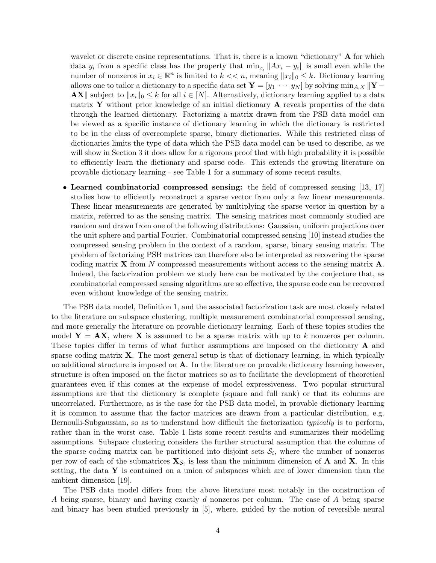wavelet or discrete cosine representations. That is, there is a known "dictionary" **A** for which data  $y_i$  from a specific class has the property that  $\min_{x_i} ||Ax_i - y_i||$  is small even while the number of nonzeros in  $x_i \in \mathbb{R}^n$  is limited to  $k \ll n$ , meaning  $||x_i||_0 \leq k$ . Dictionary learning allows one to tailor a dictionary to a specific data set  $\mathbf{Y} = [y_1 \cdots y_N]$  by solving  $\min_{A,X} ||\mathbf{Y} -$ **AX** subject to  $||x_i||_0 \leq k$  for all  $i \in [N]$ . Alternatively, dictionary learning applied to a data matrix Y without prior knowledge of an initial dictionary  $A$  reveals properties of the data through the learned dictionary. Factorizing a matrix drawn from the PSB data model can be viewed as a specific instance of dictionary learning in which the dictionary is restricted to be in the class of overcomplete sparse, binary dictionaries. While this restricted class of dictionaries limits the type of data which the PSB data model can be used to describe, as we will show in Section 3 it does allow for a rigorous proof that with high probability it is possible to efficiently learn the dictionary and sparse code. This extends the growing literature on provable dictionary learning - see Table 1 for a summary of some recent results.

• Learned combinatorial compressed sensing: the field of compressed sensing [13, 17] studies how to efficiently reconstruct a sparse vector from only a few linear measurements. These linear measurements are generated by multiplying the sparse vector in question by a matrix, referred to as the sensing matrix. The sensing matrices most commonly studied are random and drawn from one of the following distributions: Gaussian, uniform projections over the unit sphere and partial Fourier. Combinatorial compressed sensing [10] instead studies the compressed sensing problem in the context of a random, sparse, binary sensing matrix. The problem of factorizing PSB matrices can therefore also be interpreted as recovering the sparse coding matrix **X** from N compressed measurements without access to the sensing matrix  $\mathbf{A}$ . Indeed, the factorization problem we study here can be motivated by the conjecture that, as combinatorial compressed sensing algorithms are so effective, the sparse code can be recovered even without knowledge of the sensing matrix.

The PSB data model, Definition 1, and the associated factorization task are most closely related to the literature on subspace clustering, multiple measurement combinatorial compressed sensing, and more generally the literature on provable dictionary learning. Each of these topics studies the model  $Y = AX$ , where X is assumed to be a sparse matrix with up to k nonzeros per column. These topics differ in terms of what further assumptions are imposed on the dictionary A and sparse coding matrix  $X$ . The most general setup is that of dictionary learning, in which typically no additional structure is imposed on A. In the literature on provable dictionary learning however, structure is often imposed on the factor matrices so as to facilitate the development of theoretical guarantees even if this comes at the expense of model expressiveness. Two popular structural assumptions are that the dictionary is complete (square and full rank) or that its columns are uncorrelated. Furthermore, as is the case for the PSB data model, in provable dictionary learning it is common to assume that the factor matrices are drawn from a particular distribution, e.g. Bernoulli-Subgaussian, so as to understand how difficult the factorization typically is to perform, rather than in the worst case. Table 1 lists some recent results and summarizes their modelling assumptions. Subspace clustering considers the further structural assumption that the columns of the sparse coding matrix can be partitioned into disjoint sets  $S_i$ , where the number of nonzeros per row of each of the submatrices  $\mathbf{X}_{\mathcal{S}_i}$  is less than the minimum dimension of **A** and **X**. In this setting, the data  $\bf{Y}$  is contained on a union of subspaces which are of lower dimension than the ambient dimension [19].

The PSB data model differs from the above literature most notably in the construction of A being sparse, binary and having exactly d nonzeros per column. The case of A being sparse and binary has been studied previously in [5], where, guided by the notion of reversible neural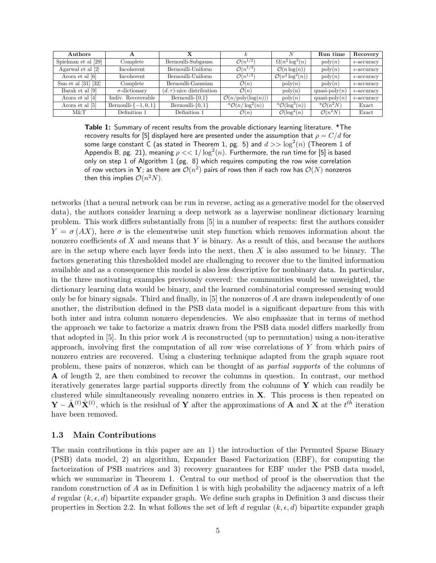| Authors                 | A                       |                                |                                       | N                            | Run time                 | Recovery             |
|-------------------------|-------------------------|--------------------------------|---------------------------------------|------------------------------|--------------------------|----------------------|
| Spielman et al [29]     | Complete                | Bernoulli-Subgauss.            | $\mathcal{O}(n^{1/2})$                | $\Omega(n^2 \log^2(n))$      | $\text{poly}(n)$         | $\epsilon$ -accuracy |
| Agarwal et al [2]       | Incoherent              | Bernoulli-Uniform              | $\mathcal{O}(n^{1/4})$                | $\mathcal{O}(n \log(n))$     | $\operatorname{poly}(n)$ | $\epsilon$ -accuracy |
| Arora et al [6]         | Incoherent              | Bernoulli-Uniform              | $\mathcal{O}(n^{1/2})$                | $\mathcal{O}(n^2 \log^2(n))$ | $\operatorname{poly}(n)$ | $\epsilon$ -accuracy |
| Sun et al $[31]$ $[32]$ | Complete                | Bernoulli-Gaussian             | $\mathcal{O}(n)$                      | $\operatorname{poly}(n)$     | $\mathrm{poly}(n)$       | $\epsilon$ -accuracy |
| Barak et al [9]         | $\sigma$ -dictionary    | $(d, \tau)$ -nice distribution | $\mathcal{O}(n)$                      | $\text{poly}(n)$             | quasi-poly $(n)$         | $\epsilon$ -accuracy |
| Arora et al [4]         | Indiv. Recoverable      | Bernoulli- $\{0,1\}$           | $\mathcal{O}(n/\text{poly}(\log(n)))$ | $\mathrm{poly}(n)$           | quasi-poly $(n)$         | $\epsilon$ -accuracy |
| Arora et al [5]         | Bernoulli- $\{-1,0,1\}$ | Bernoulli- $\{0,1\}$           | $^*\mathcal{O}(n/\log^2(n))$          | $^*\mathcal{O}(\log^5(n))$   | $^*O(n^2N)$              | Exact                |
| M&T                     | Definition 1            | Definition 1                   | $\mathcal{O}(n)$                      | $\mathcal{O}(\log^2(n))$     | $\mathcal{O}(n^2N)$      | Exact                |

Table 1: Summary of recent results from the provable dictionary learning literature. \*The recovery results for [5] displayed here are presented under the assumption that  $\rho = C/d$  for some large constant C (as stated in Theorem 1, pg. 5) and  $d >> \log^2(n)$  (Theorem 1 of Appendix B, pg. 21), meaning  $\rho << 1/\log^2(n)$ . Furthermore, the run time for [5] is based only on step 1 of Algorithm 1 (pg. 8) which requires computing the row wise correlation of row vectors in  $\mathbf Y$ ; as there are  $\mathcal O(n^2)$  pairs of rows then if each row has  $\mathcal O(N)$  nonzeros then this implies  $\mathcal{O}(n^2N)$ .

networks (that a neural network can be run in reverse, acting as a generative model for the observed data), the authors consider learning a deep network as a layerwise nonlinear dictionary learning problem. This work differs substantially from [5] in a number of respects: first the authors consider  $Y = \sigma(AX)$ , here  $\sigma$  is the elementwise unit step function which removes information about the nonzero coefficients of  $X$  and means that  $Y$  is binary. As a result of this, and because the authors are in the setup where each layer feeds into the next, then  $X$  is also assumed to be binary. The factors generating this thresholded model are challenging to recover due to the limited information available and as a consequence this model is also less descriptive for nonbinary data. In particular, in the three motivating examples previously covered: the communities would be unweighted, the dictionary learning data would be binary, and the learned combinatorial compressed sensing would only be for binary signals. Third and finally, in  $[5]$  the nonzeros of A are drawn independently of one another, the distribution defined in the PSB data model is a significant departure from this with both inter and intra column nonzero dependencies. We also emphasize that in terms of method the approach we take to factorize a matrix drawn from the PSB data model differs markedly from that adopted in  $[5]$ . In this prior work A is reconstructed (up to permutation) using a non-iterative approach, involving first the computation of all row wise correlations of Y from which pairs of nonzero entries are recovered. Using a clustering technique adapted from the graph square root problem, these pairs of nonzeros, which can be thought of as partial supports of the columns of A of length 2, are then combined to recover the columns in question. In contrast, our method iteratively generates large partial supports directly from the columns of  $\mathbf Y$  which can readily be clustered while simultaneously revealing nonzero entries in X. This process is then repeated on  $\mathbf{Y} - \hat{\mathbf{A}}^{(t)} \hat{\mathbf{X}}^{(t)}$ , which is the residual of  $\mathbf{Y}$  after the approximations of  $\mathbf{A}$  and  $\mathbf{X}$  at the  $t^{t\bar{h}}$  iteration have been removed.

#### 1.3 Main Contributions

The main contributions in this paper are an 1) the introduction of the Permuted Sparse Binary (PSB) data model, 2) an algorithm, Expander Based Factorization (EBF), for computing the factorization of PSB matrices and 3) recovery guarantees for EBF under the PSB data model, which we summarize in Theorem 1. Central to our method of proof is the observation that the random construction of A as in Definition 1 is with high probability the adjacency matrix of a left d regular  $(k, \epsilon, d)$  bipartite expander graph. We define such graphs in Definition 3 and discuss their properties in Section 2.2. In what follows the set of left d regular  $(k, \epsilon, d)$  bipartite expander graph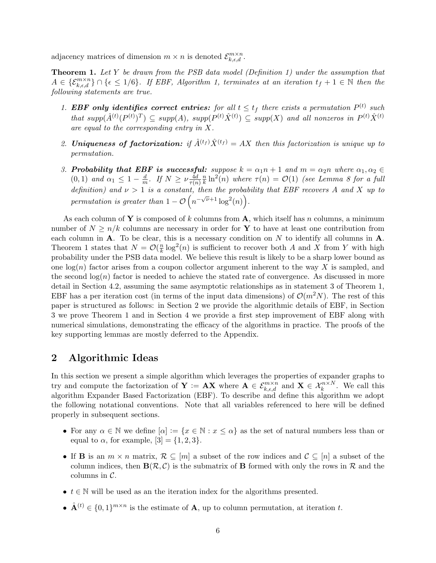adjacency matrices of dimension  $m \times n$  is denoted  $\mathcal{E}_{k,\epsilon,d}^{m \times n}$ .

**Theorem 1.** Let Y be drawn from the PSB data model (Definition 1) under the assumption that  $A \in {\mathcal{E}}_{k,\epsilon,d}^{m\times n} \cap {\epsilon \leq 1/6}$ . If EBF, Algorithm 1, terminates at an iteration  $t_f + 1 \in \mathbb{N}$  then the following statements are true.

- 1. EBF only identifies correct entries: for all  $t \leq t_f$  there exists a permutation  $P^{(t)}$  such that supp $(\hat{A}^{(t)}(P^{(t)})^T) \subseteq supp(A)$ , supp $(P^{(t)}\hat{X}^{(t)}) \subseteq supp(X)$  and all nonzeros in  $P^{(t)}\hat{X}^{(t)}$ are equal to the corresponding entry in X.
- 2. **Uniqueness of factorization:** if  $\hat{A}^{(t_f)}\hat{X}^{(t_f)} = AX$  then this factorization is unique up to permutation.
- 3. Probability that EBF is successful: suppose  $k = \alpha_1 n + 1$  and  $m = \alpha_2 n$  where  $\alpha_1, \alpha_2 \in$  $(0, 1)$  and  $\alpha_1 \leq 1 - \frac{d}{m}$  $\frac{d}{m}$ . If  $N \geq \nu \frac{4d}{\tau(n)}$  $\overline{\tau(n)}$  $\overline{n}$  $\frac{n}{k} \ln^2(n)$  where  $\tau(n) = \mathcal{O}(1)$  (see Lemma 8 for a full definition) and  $\nu > 1$  is a constant, then the probability that EBF recovers A and X up to permutation is greater than  $1 - \mathcal{O}\left(n^{-\sqrt{\nu}+1}\log^2(n)\right)$ .

As each column of Y is composed of k columns from A, which itself has n columns, a minimum number of  $N \geq n/k$  columns are necessary in order for Y to have at least one contribution from each column in  $A$ . To be clear, this is a necessary condition on  $N$  to identify all columns in  $A$ . Theorem 1 states that  $N = \mathcal{O}(\frac{n}{k})$  $\frac{n}{k} \log^2(n)$  is sufficient to recover both A and X from Y with high probability under the PSB data model. We believe this result is likely to be a sharp lower bound as one  $log(n)$  factor arises from a coupon collector argument inherent to the way X is sampled, and the second  $log(n)$  factor is needed to achieve the stated rate of convergence. As discussed in more detail in Section 4.2, assuming the same asymptotic relationships as in statement 3 of Theorem 1, EBF has a per iteration cost (in terms of the input data dimensions) of  $\mathcal{O}(m^2N)$ . The rest of this paper is structured as follows: in Section 2 we provide the algorithmic details of EBF, in Section 3 we prove Theorem 1 and in Section 4 we provide a first step improvement of EBF along with numerical simulations, demonstrating the efficacy of the algorithms in practice. The proofs of the key supporting lemmas are mostly deferred to the Appendix.

# 2 Algorithmic Ideas

In this section we present a simple algorithm which leverages the properties of expander graphs to try and compute the factorization of  $Y := AX$  where  $A \in \mathcal{E}_{k,\epsilon,d}^{m \times n}$  and  $X \in \mathcal{X}_k^{n \times N}$ . We call this algorithm Expander Based Factorization (EBF). To describe and define this algorithm we adopt the following notational conventions. Note that all variables referenced to here will be defined properly in subsequent sections.

- For any  $\alpha \in \mathbb{N}$  we define  $[\alpha] := \{x \in \mathbb{N} : x \leq \alpha\}$  as the set of natural numbers less than or equal to  $\alpha$ , for example,  $[3] = \{1, 2, 3\}.$
- If **B** is an  $m \times n$  matrix,  $\mathcal{R} \subseteq [m]$  a subset of the row indices and  $\mathcal{C} \subseteq [n]$  a subset of the column indices, then  $\mathbf{B}(\mathcal{R}, \mathcal{C})$  is the submatrix of **B** formed with only the rows in  $\mathcal{R}$  and the columns in  $\mathcal{C}$ .
- $t \in \mathbb{N}$  will be used as an the iteration index for the algorithms presented.
- $\hat{\mathbf{A}}^{(t)} \in \{0,1\}^{m \times n}$  is the estimate of **A**, up to column permutation, at iteration t.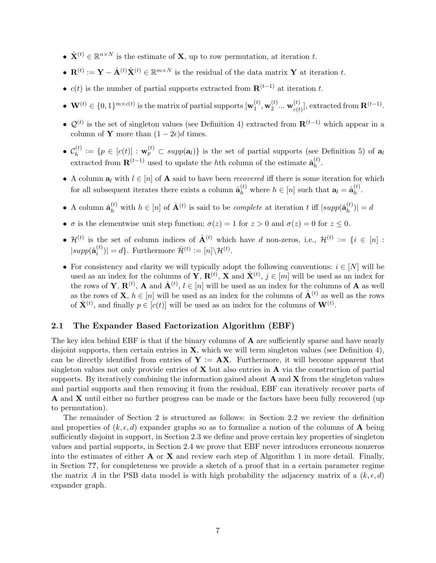- $\hat{\mathbf{X}}^{(t)} \in \mathbb{R}^{n \times N}$  is the estimate of **X**, up to row permutation, at iteration t.
- $\mathbf{R}^{(t)} := \mathbf{Y} \hat{\mathbf{A}}^{(t)} \hat{\mathbf{X}}^{(t)} \in \mathbb{R}^{m \times N}$  is the residual of the data matrix Y at iteration t.
- $c(t)$  is the number of partial supports extracted from  $\mathbf{R}^{(t-1)}$  at iteration t.
- $\mathbf{W}^{(t)} \in \{0,1\}^{m \times c(t)}$  is the matrix of partial supports  $\mathbf{w}_1^{(t)}$  $_1^{\left( t \right)},\mathbf{w}_2^{\left( t \right)}$  $\mathbf{w}_{c(t)}^{(t)}$  ...  $\mathbf{w}_{c(t)}^{(t)}$  $_{c(t)}^{(t)}$ , extracted from  $\mathbf{R}^{(t-1)}$ .
- $\mathcal{Q}^{(t)}$  is the set of singleton values (see Definition 4) extracted from  $\mathbf{R}^{(t-1)}$  which appear in a column of **Y** more than  $(1 - 2\epsilon)d$  times.
- $\bullet$   $\mathcal{C}_h^{(t)}$  $h_h^{(t)} := \{p \in [c(t)] : \mathbf{w}_p^{(t)} \subset supp(\mathbf{a}_l)\}\$ is the set of partial supports (see Definition 5) of  $\mathbf{a}_l$ extracted from  $\mathbf{R}^{(t-1)}$  used to update the hth column of the estimate  $\hat{\mathbf{a}}_h^{(t)}$  $\frac{\mu}{h}$ .
- A column  $a_l$  with  $l \in [n]$  of A said to have been *recovered* iff there is some iteration for which for all subsequent iterates there exists a column  $\hat{\mathbf{a}}_h^{(t)}$  where  $h \in [n]$  such that  $\mathbf{a}_l = \hat{\mathbf{a}}_h^{(t)}$  $\frac{\mu}{h}$ .
- A column  $\hat{\mathbf{a}}_h^{(t)}$  with  $h \in [n]$  of  $\hat{\mathbf{A}}^{(t)}$  is said to be *complete* at iteration t iff  $|supp(\hat{\mathbf{a}}_h^{(t)})|$  $\binom{u}{h}$ | = d
- $\sigma$  is the elementwise unit step function;  $\sigma(z) = 1$  for  $z > 0$  and  $\sigma(z) = 0$  for  $z \le 0$ .
- $\mathcal{H}^{(t)}$  is the set of column indices of  $\hat{\mathbf{A}}^{(t)}$  which have d non-zeros, i.e.,  $\mathcal{H}^{(t)} := \{i \in [n]:$  $|supp(\hat{\mathbf{a}}_i^{(t)})$  $\hat{H}_{i}^{(t)}$ )| = d}. Furthermore  $\bar{\mathcal{H}}^{(t)} \coloneqq [n] \backslash \mathcal{H}^{(t)}$ .
- For consistency and clarity we will typically adopt the following conventions:  $i \in [N]$  will be used as an index for the columns of  $\mathbf{Y}, \mathbf{R}^{(t)}$ ,  $\mathbf{X}$  and  $\hat{\mathbf{X}}^{(t)}$ ,  $j \in [m]$  will be used as an index for the rows of **Y**,  $\mathbf{R}^{(t)}$ , **A** and  $\hat{\mathbf{A}}^{(t)}$ ,  $l \in [n]$  will be used as an index for the columns of **A** as well as the rows of **X**,  $h \in [n]$  will be used as an index for the columns of  $\hat{\mathbf{A}}^{(t)}$  as well as the rows of  $\hat{\mathbf{X}}^{(t)}$ , and finally  $p \in [c(t)]$  will be used as an index for the columns of  $\mathbf{W}^{(t)}$ .

#### 2.1 The Expander Based Factorization Algorithm (EBF)

The key idea behind EBF is that if the binary columns of **A** are sufficiently sparse and have nearly disjoint supports, then certain entries in  $X$ , which we will term singleton values (see Definition 4), can be directly identified from entries of  $Y := AX$ . Furthermore, it will become apparent that singleton values not only provide entries of  $X$  but also entries in  $A$  via the construction of partial supports. By iteratively combining the information gained about  $A$  and  $X$  from the singleton values and partial supports and then removing it from the residual, EBF can iteratively recover parts of A and X until either no further progress can be made or the factors have been fully recovered (up to permutation).

The remainder of Section 2 is structured as follows: in Section 2.2 we review the definition and properties of  $(k, \epsilon, d)$  expander graphs so as to formalize a notion of the columns of **A** being sufficiently disjoint in support, in Section 2.3 we define and prove certain key properties of singleton values and partial supports, in Section 2.4 we prove that EBF never introduces erroneous nonzeros into the estimates of either  $\bf{A}$  or  $\bf{X}$  and review each step of Algorithm 1 in more detail. Finally, in Section ??, for completeness we provide a sketch of a proof that in a certain parameter regime the matrix A in the PSB data model is with high probability the adjacency matrix of a  $(k, \epsilon, d)$ expander graph.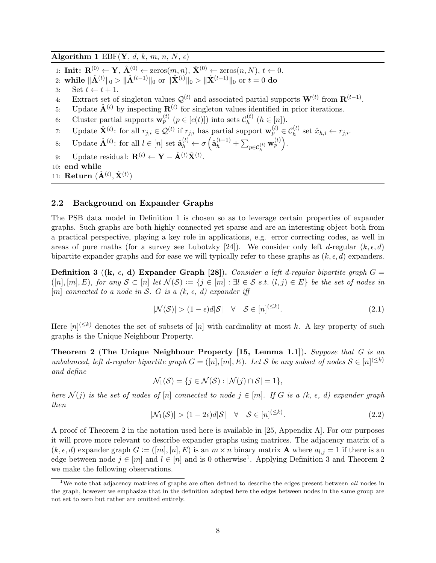Algorithm 1 EBF(Y, d, k, m, n, N,  $\epsilon$ )

- 1: Init:  $\mathbf{R}^{(0)} \leftarrow \mathbf{Y}, \hat{\mathbf{A}}^{(0)} \leftarrow \text{zeros}(m, n), \hat{\mathbf{X}}^{(0)} \leftarrow \text{zeros}(n, N), t \leftarrow 0.$
- 2: while  $\|\hat{\mathbf{A}}^{(t)}\|_0 > \|\hat{\mathbf{A}}^{(t-1)}\|_0$  or  $\|\hat{\mathbf{X}}^{(t)}\|_0 > \|\hat{\mathbf{X}}^{(t-1)}\|_0$  or  $t = 0$  do
- 3: Set  $t \leftarrow t + 1$ .
- 4: Extract set of singleton values  $\mathcal{Q}^{(t)}$  and associated partial supports  $\mathbf{W}^{(t)}$  from  $\mathbf{R}^{(t-1)}$ .
- 5: Update  $\hat{\mathbf{A}}^{(t)}$  by inspecting  $\mathbf{R}^{(t)}$  for singleton values identified in prior iterations.
- 6: Cluster partial supports  $\mathbf{w}_p^{(t)}$   $(p \in [c(t)])$  into sets  $\mathcal{C}_h^{(t)}$  $h^{(t)}$   $(h \in [n])$ .
- 7: Update  $\hat{\mathbf{X}}^{(t)}$ : for all  $r_{j,i} \in \mathcal{Q}^{(t)}$  if  $r_{j,i}$  has partial support  $\mathbf{w}_p^{(t)} \in \mathcal{C}_h^{(t)}$  set  $\hat{x}_{h,i} \leftarrow r_{j,i}$ .
- 8: Update  $\hat{\mathbf{A}}^{(t)}$ : for all  $l \in [n]$  set  $\hat{\mathbf{a}}_h^{(t)} \leftarrow \sigma \left( \hat{\mathbf{a}}_h^{(t-1)} + \sum_{p \in C_h^{(t)}} \mathbf{w}_p^{(t)} \right)$ .
- 9: Update residual:  $\mathbf{R}^{(t)} \leftarrow \mathbf{Y} \hat{\mathbf{A}}^{(t)} \hat{\mathbf{X}}^{(t)}$ .
- 10: end while
- 11: Return  $(\hat{\mathbf{A}}^{(t)}, \hat{\mathbf{X}}^{(t)})$

## 2.2 Background on Expander Graphs

The PSB data model in Definition 1 is chosen so as to leverage certain properties of expander graphs. Such graphs are both highly connected yet sparse and are an interesting object both from a practical perspective, playing a key role in applications, e.g. error correcting codes, as well in areas of pure maths (for a survey see Lubotzky [24]). We consider only left d-regular  $(k, \epsilon, d)$ bipartite expander graphs and for ease we will typically refer to these graphs as  $(k, \epsilon, d)$  expanders.

Definition 3 ((k,  $\epsilon$ , d) Expander Graph [28]). Consider a left d-regular bipartite graph G =  $([n], [m], E)$ , for any  $S \subset [n]$  let  $\mathcal{N}(S) := \{j \in [m] : \exists l \in S \text{ s.t. } (l, j) \in E\}$  be the set of nodes in [m] connected to a node in S. G is a  $(k, \epsilon, d)$  expander iff

$$
|\mathcal{N}(\mathcal{S})| > (1 - \epsilon)d|\mathcal{S}| \quad \forall \quad \mathcal{S} \in [n]^{(\leq k)}.
$$
\n
$$
(2.1)
$$

Here  $[n]^{(\leq k)}$  denotes the set of subsets of  $[n]$  with cardinality at most k. A key property of such graphs is the Unique Neighbour Property.

Theorem 2 (The Unique Neighbour Property [15, Lemma 1.1]). Suppose that G is an unbalanced, left d-regular bipartite graph  $G = ([n], [m], E)$ . Let S be any subset of nodes  $S \in [n]^{(\leq k)}$ and define

$$
\mathcal{N}_1(\mathcal{S}) = \{ j \in \mathcal{N}(\mathcal{S}) : |\mathcal{N}(j) \cap \mathcal{S}| = 1 \},\
$$

here  $\mathcal{N}(j)$  is the set of nodes of  $[n]$  connected to node  $j \in [m]$ . If G is a  $(k, \epsilon, d)$  expander graph then

$$
|\mathcal{N}_1(\mathcal{S})| > (1 - 2\epsilon)d|\mathcal{S}| \quad \forall \quad \mathcal{S} \in [n]^{(\leq k)}.\tag{2.2}
$$

A proof of Theorem 2 in the notation used here is available in [25, Appendix A]. For our purposes it will prove more relevant to describe expander graphs using matrices. The adjacency matrix of a  $(k, \epsilon, d)$  expander graph  $G := ([m], [n], E)$  is an  $m \times n$  binary matrix **A** where  $a_{l,i} = 1$  if there is an edge between node  $j \in [m]$  and  $l \in [n]$  and is 0 otherwise<sup>1</sup>. Applying Definition 3 and Theorem 2 we make the following observations.

<sup>&</sup>lt;sup>1</sup>We note that adjacency matrices of graphs are often defined to describe the edges present between *all* nodes in the graph, however we emphasize that in the definition adopted here the edges between nodes in the same group are not set to zero but rather are omitted entirely.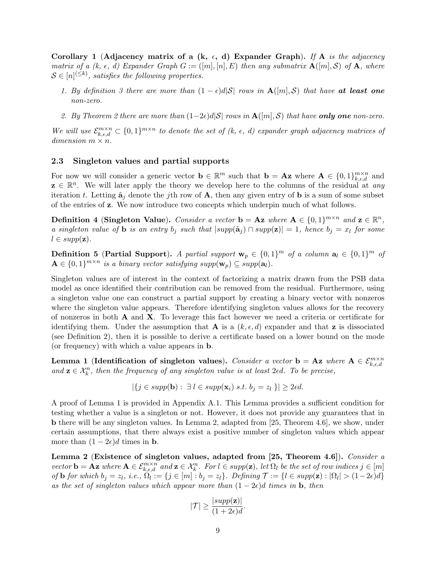Corollary 1 (Adjacency matrix of a (k,  $\epsilon$ , d) Expander Graph). If A is the adjacency matrix of a (k,  $\epsilon$ , d) Expander Graph  $G := ([m], [n], E)$  then any submatrix  $\mathbf{A}([m], \mathcal{S})$  of  $\mathbf{A}$ , where  $\mathcal{S} \in [n]^{(\leq k)}$ , satisfies the following properties.

- 1. By definition 3 there are more than  $(1 \epsilon) d|\mathcal{S}|$  rows in  $\mathbf{A}([m], \mathcal{S})$  that have at least one non-zero.
- 2. By Theorem 2 there are more than  $(1-2\epsilon)d\mathcal{S}$  rows in  $\mathbf{A}([m],\mathcal{S})$  that have **only one** non-zero.

We will use  $\mathcal{E}_{k,\epsilon,d}^{m\times n} \subset \{0,1\}^{m\times n}$  to denote the set of  $(k, \epsilon, d)$  expander graph adjacency matrices of  $dimension \, m \times n$ .

#### 2.3 Singleton values and partial supports

For now we will consider a generic vector  $\mathbf{b} \in \mathbb{R}^m$  such that  $\mathbf{b} = \mathbf{A} \mathbf{z}$  where  $\mathbf{A} \in \{0,1\}_{k,\epsilon,d}^{m \times n}$  and  $z \in \mathbb{R}^n$ . We will later apply the theory we develop here to the columns of the residual at any iteration t. Letting  $\tilde{\mathbf{a}}_j$  denote the j<sup>th</sup> row of **A**, then any given entry of **b** is a sum of some subset of the entries of z. We now introduce two concepts which underpin much of what follows.

Definition 4 (Singleton Value). Consider a vector  $\mathbf{b} = \mathbf{A} \mathbf{z}$  where  $\mathbf{A} \in \{0,1\}^{m \times n}$  and  $\mathbf{z} \in \mathbb{R}^n$ , a singleton value of **b** is an entry  $b_j$  such that  $|supp(\tilde{a}_j) \cap supp(\mathbf{z})| = 1$ , hence  $b_j = x_l$  for some  $l \in supp(\mathbf{z}).$ 

**Definition 5** (Partial Support). A partial support  $\mathbf{w}_p \in \{0,1\}^m$  of a column  $\mathbf{a}_l \in \{0,1\}^m$  of  $\mathbf{A} \in \{0,1\}^{m \times n}$  is a binary vector satisfying supp $(\mathbf{w}_p) \subseteq supp(\mathbf{a}_l)$ .

Singleton values are of interest in the context of factorizing a matrix drawn from the PSB data model as once identified their contribution can be removed from the residual. Furthermore, using a singleton value one can construct a partial support by creating a binary vector with nonzeros where the singleton value appears. Therefore identifying singleton values allows for the recovery of nonzeros in both  $\bf{A}$  and  $\bf{X}$ . To leverage this fact however we need a criteria or certificate for identifying them. Under the assumption that **A** is a  $(k, \epsilon, d)$  expander and that **z** is dissociated (see Definition 2), then it is possible to derive a certificate based on a lower bound on the mode (or frequency) with which a value appears in b.

Lemma 1 (Identification of singleton values). Consider a vector  $\mathbf{b} = \mathbf{A} \mathbf{z}$  where  $\mathbf{A} \in \mathcal{E}_{k,\epsilon,d}^{m \times n}$ and  $z \in \mathcal{X}_k^n$ , then the frequency of any singleton value is at least 2 $\epsilon d$ . To be precise,

$$
|\{j \in \text{supp}(\mathbf{b}) : \exists l \in \text{supp}(\mathbf{x}_i) \text{ s.t. } b_j = z_l\}| \geq 2\epsilon d.
$$

A proof of Lemma 1 is provided in Appendix A.1. This Lemma provides a sufficient condition for testing whether a value is a singleton or not. However, it does not provide any guarantees that in b there will be any singleton values. In Lemma 2, adapted from [25, Theorem 4.6], we show, under certain assumptions, that there always exist a positive number of singleton values which appear more than  $(1 - 2\epsilon)d$  times in **b**.

Lemma 2 (Existence of singleton values, adapted from [25, Theorem 4.6]). Consider a vector **b** = **Az** where  $A \in \mathcal{E}_{k,\epsilon,d}^{m \times n}$  and  $\mathbf{z} \in \mathcal{X}_k^n$ . For  $l \in supp(\mathbf{z})$ , let  $\Omega_l$  be the set of row indices  $j \in [m]$ of **b** for which  $b_j = z_l$ , i.e.,  $\Omega_l := \{j \in [m] : b_j = z_l\}$ . Defining  $\mathcal{T} := \{l \in supp(\mathbf{z}) : |\Omega_l| > (1-2\epsilon)d\}$ as the set of singleton values which appear more than  $(1 - 2\epsilon)d$  times in b, then

$$
|\mathcal{T}| \ge \frac{|supp(\mathbf{z})|}{(1+2\epsilon)d}.
$$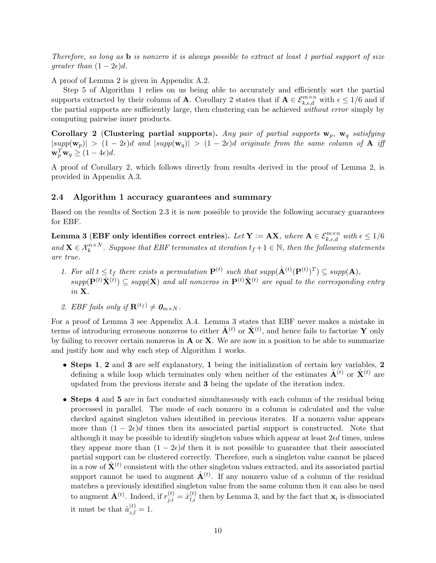Therefore, so long as b is nonzero it is always possible to extract at least 1 partial support of size greater than  $(1 - 2\epsilon)d$ .

A proof of Lemma 2 is given in Appendix A.2.

Step 5 of Algorithm 1 relies on us being able to accurately and efficiently sort the partial supports extracted by their column of **A**. Corollary 2 states that if  $A \in \mathcal{E}_{k,\epsilon,d}^{m \times n}$  with  $\epsilon \leq 1/6$  and if the partial supports are sufficiently large, then clustering can be achieved without error simply by computing pairwise inner products.

Corollary 2 (Clustering partial supports). Any pair of partial supports  $w_p$ ,  $w_q$  satisfying  $|supp(\mathbf{w}_p)| > (1-2\epsilon)d$  and  $|supp(\mathbf{w}_q)| > (1-2\epsilon)d$  originate from the same column of **A** iff  $\mathbf{w}_p^T \mathbf{w}_q \geq (1 - 4\epsilon)d.$ 

A proof of Corollary 2, which follows directly from results derived in the proof of Lemma 2, is provided in Appendix A.3.

#### 2.4 Algorithm 1 accuracy guarantees and summary

Based on the results of Section 2.3 it is now possible to provide the following accuracy guarantees for EBF.

Lemma 3 (EBF only identifies correct entries). Let  $\mathbf{Y}:=\mathbf{AX},$  where  $\mathbf{A}\in\mathcal{E}_{k,\epsilon,d}^{m\times n}$  with  $\epsilon\leq 1/6$ and  $\mathbf{X} \in \mathcal{X}_k^{n \times N}$ . Suppose that EBF terminates at iteration  $t_f + 1 \in \mathbb{N}$ , then the following statements are true.

- 1. For all  $t \le t_f$  there exists a permutation  $\mathbf{P}^{(t)}$  such that  $supp(\hat{\mathbf{A}}^{(t)}(\mathbf{P}^{(t)})^T) \subseteq supp(\mathbf{A}),$  $supp(\mathbf{P}^{(t)}\hat{\mathbf{X}}^{(t)}) \subseteq supp(\mathbf{X})$  and all nonzeros in  $\mathbf{P}^{(t)}\hat{\mathbf{X}}^{(t)}$  are equal to the corresponding entry in X.
- 2. EBF fails only if  $\mathbf{R}^{(t_f)} \neq \mathbf{0}_{m \times N}$ .

For a proof of Lemma 3 see Appendix A.4. Lemma 3 states that EBF never makes a mistake in terms of introducing erroneous nonzeros to either  $\hat{\mathbf{A}}^{(t)}$  or  $\hat{\mathbf{X}}^{(t)}$ , and hence fails to factorize Y only by failing to recover certain nonzeros in  $\bf{A}$  or  $\bf{X}$ . We are now in a position to be able to summarize and justify how and why each step of Algorithm 1 works.

- Steps 1, 2 and 3 are self explanatory, 1 being the initialization of certain key variables, 2 defining a while loop which terminates only when neither of the estimates  $\hat{\mathbf{A}}^{(t)}$  or  $\hat{\mathbf{X}}^{(t)}$  are updated from the previous iterate and 3 being the update of the iteration index.
- Steps 4 and 5 are in fact conducted simultaneously with each column of the residual being processed in parallel. The mode of each nonzero in a column is calculated and the value checked against singleton values identified in previous iterates. If a nonzero value appears more than  $(1 - 2\epsilon)d$  times then its associated partial support is constructed. Note that although it may be possible to identify singleton values which appear at least  $2\epsilon d$  times, unless they appear more than  $(1 - 2\epsilon)d$  then it is not possible to guarantee that their associated partial support can be clustered correctly. Therefore, such a singleton value cannot be placed in a row of  $\hat{\mathbf{X}}^{(t)}$  consistent with the other singleton values extracted, and its associated partial support cannot be used to augment  $\hat{\mathbf{A}}^{(t)}$ . If any nonzero value of a column of the residual matches a previously identified singleton value from the same column then it can also be used to augment  $\hat{\mathbf{A}}^{(t)}$ . Indeed, if  $r_{j,i}^{(t)} = \hat{x}_{l,i}^{(t)}$  then by Lemma 3, and by the fact that  $\mathbf{x}_i$  is dissociated it must be that  $\hat{a}_{z,l}^{(t)} = 1$ .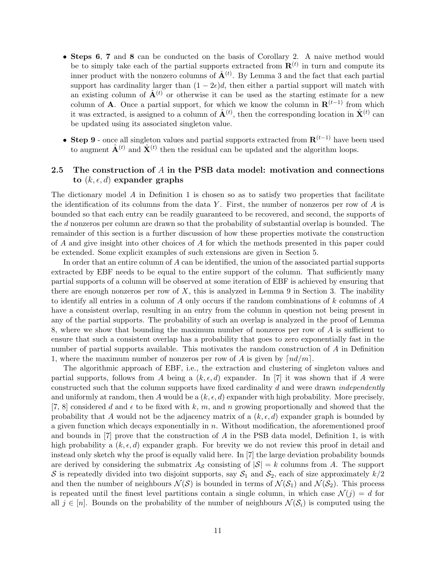- Steps 6, 7 and 8 can be conducted on the basis of Corollary 2. A naive method would be to simply take each of the partial supports extracted from  $\mathbf{R}^{(t)}$  in turn and compute its inner product with the nonzero columns of  $\hat{A}^{(t)}$ . By Lemma 3 and the fact that each partial support has cardinality larger than  $(1 - 2\epsilon)d$ , then either a partial support will match with an existing column of  $\hat{A}^{(t)}$  or otherwise it can be used as the starting estimate for a new column of **A**. Once a partial support, for which we know the column in  $\mathbf{R}^{(t-1)}$  from which it was extracted, is assigned to a column of  $\hat{\mathbf{A}}^{(t)}$ , then the corresponding location in  $\hat{\mathbf{X}}^{(t)}$  can be updated using its associated singleton value.
- Step 9 once all singleton values and partial supports extracted from  $\mathbf{R}^{(t-1)}$  have been used to augment  $\hat{\mathbf{A}}^{(t)}$  and  $\hat{\mathbf{X}}^{(t)}$  then the residual can be updated and the algorithm loops.

## 2.5 The construction of A in the PSB data model: motivation and connections to  $(k, \epsilon, d)$  expander graphs

The dictionary model  $A$  in Definition 1 is chosen so as to satisfy two properties that facilitate the identification of its columns from the data Y. First, the number of nonzeros per row of  $A$  is bounded so that each entry can be readily guaranteed to be recovered, and second, the supports of the d nonzeros per column are drawn so that the probability of substantial overlap is bounded. The remainder of this section is a further discussion of how these properties motivate the construction of A and give insight into other choices of A for which the methods presented in this paper could be extended. Some explicit examples of such extensions are given in Section 5.

In order that an entire column of A can be identified, the union of the associated partial supports extracted by EBF needs to be equal to the entire support of the column. That sufficiently many partial supports of a column will be observed at some iteration of EBF is achieved by ensuring that there are enough nonzeros per row of  $X$ , this is analyzed in Lemma 9 in Section 3. The inability to identify all entries in a column of  $A$  only occurs if the random combinations of  $k$  columns of  $A$ have a consistent overlap, resulting in an entry from the column in question not being present in any of the partial supports. The probability of such an overlap is analyzed in the proof of Lemma 8, where we show that bounding the maximum number of nonzeros per row of A is sufficient to ensure that such a consistent overlap has a probability that goes to zero exponentially fast in the number of partial supports available. This motivates the random construction of A in Definition 1, where the maximum number of nonzeros per row of A is given by  $\lceil nd/m \rceil$ .

The algorithmic approach of EBF, i.e., the extraction and clustering of singleton values and partial supports, follows from A being a  $(k, \epsilon, d)$  expander. In [7] it was shown that if A were constructed such that the column supports have fixed cardinality d and were drawn independently and uniformly at random, then A would be a  $(k, \epsilon, d)$  expander with high probability. More precisely, [7, 8] considered d and  $\epsilon$  to be fixed with k, m, and n growing proportionally and showed that the probability that A would not be the adjacency matrix of a  $(k, \epsilon, d)$  expander graph is bounded by a given function which decays exponentially in n. Without modification, the aforementioned proof and bounds in  $[7]$  prove that the construction of A in the PSB data model, Definition 1, is with high probability a  $(k, \epsilon, d)$  expander graph. For brevity we do not review this proof in detail and instead only sketch why the proof is equally valid here. In [7] the large deviation probability bounds are derived by considering the submatrix  $A_{\mathcal{S}}$  consisting of  $|\mathcal{S}| = k$  columns from A. The support S is repeatedly divided into two disjoint supports, say  $S_1$  and  $S_2$ , each of size approximately  $k/2$ and then the number of neighbours  $\mathcal{N}(\mathcal{S})$  is bounded in terms of  $\mathcal{N}(\mathcal{S}_1)$  and  $\mathcal{N}(\mathcal{S}_2)$ . This process is repeated until the finest level partitions contain a single column, in which case  $\mathcal{N}(i) = d$  for all  $j \in [n]$ . Bounds on the probability of the number of neighbours  $\mathcal{N}(\mathcal{S}_i)$  is computed using the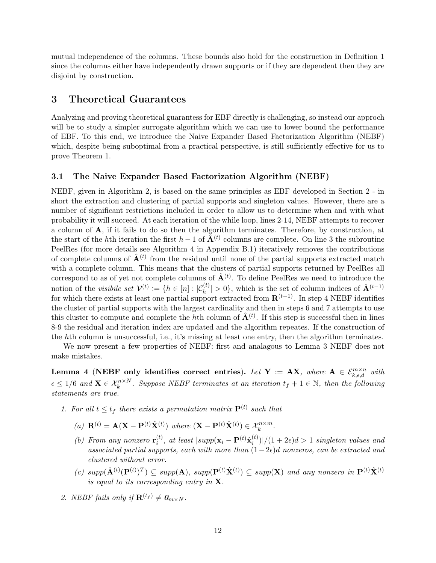mutual independence of the columns. These bounds also hold for the construction in Definition 1 since the columns either have independently drawn supports or if they are dependent then they are disjoint by construction.

# 3 Theoretical Guarantees

Analyzing and proving theoretical guarantess for EBF directly is challenging, so instead our approch will be to study a simpler surrogate algorithm which we can use to lower bound the performance of EBF. To this end, we introduce the Naive Expander Based Factorization Algorithm (NEBF) which, despite being suboptimal from a practical perspective, is still sufficiently effective for us to prove Theorem 1.

#### 3.1 The Naive Expander Based Factorization Algorithm (NEBF)

NEBF, given in Algorithm 2, is based on the same principles as EBF developed in Section 2 - in short the extraction and clustering of partial supports and singleton values. However, there are a number of significant restrictions included in order to allow us to determine when and with what probability it will succeed. At each iteration of the while loop, lines 2-14, NEBF attempts to recover a column of A, if it fails to do so then the algorithm terminates. Therefore, by construction, at the start of the hth iteration the first  $h-1$  of  $\tilde{A}^{(t)}$  columns are complete. On line 3 the subroutine PeelRes (for more details see Algorithm 4 in Appendix B.1) iteratively removes the contributions of complete columns of  $\hat{A}^{(t)}$  from the residual until none of the partial supports extracted match with a complete column. This means that the clusters of partial supports returned by PeelRes all correspond to as of yet not complete columns of  $\hat{A}^{(t)}$ . To define PeelRes we need to introduce the notion of the *visibile set*  $\mathcal{V}^{(t)} := \{h \in [n] : |\mathcal{C}_h^{(t)}| > 0\}$ , which is the set of column indices of  $\hat{\mathbf{A}}^{(t-1)}$ for which there exists at least one partial support extracted from  $\mathbf{R}^{(t-1)}$ . In step 4 NEBF identifies the cluster of partial supports with the largest cardinality and then in steps 6 and 7 attempts to use this cluster to compute and complete the hth column of  $\hat{A}^{(t)}$ . If this step is successful then in lines 8-9 the residual and iteration index are updated and the algorithm repeates. If the construction of the hth column is unsuccessful, i.e., it's missing at least one entry, then the algorithm terminates.

We now present a few properties of NEBF: first and analagous to Lemma 3 NEBF does not make mistakes.

Lemma 4 (NEBF only identifies correct entries). Let  $Y := AX$ , where  $A \in \mathcal{E}_{k,\epsilon,d}^{m \times n}$  with  $\epsilon \leq 1/6$  and  $\mathbf{X} \in \mathcal{X}_k^{n \times N}$ . Suppose NEBF terminates at an iteration  $t_f + 1 \in \mathbb{N}$ , then the following statements are true.

- 1. For all  $t \le t_f$  there exists a permutation matrix  $\mathbf{P}^{(t)}$  such that
	- (a)  $\mathbf{R}^{(t)} = \mathbf{A}(\mathbf{X} \mathbf{P}^{(t)}\hat{\mathbf{X}}^{(t)})$  where  $(\mathbf{X} \mathbf{P}^{(t)}\hat{\mathbf{X}}^{(t)}) \in \mathcal{X}_k^{n \times m}$ .
	- (b) From any nonzero  $\mathbf{r}_i^{(t)}$  $\hat{\mathbf{x}}_i^{(t)}$ , at least  $|supp(\mathbf{x}_i - \mathbf{P}^{(t)}\hat{\mathbf{x}}_i^{(t)})|$  $\binom{d}{i}$ |/(1 + 2 $\epsilon$ ) $d > 1$  singleton values and associated partial supports, each with more than  $(1-2\epsilon)d$  nonzeros, can be extracted and clustered without error.
	- (c)  $supp(\hat{\mathbf{A}}^{(t)}(\mathbf{P}^{(t)})^T) \subseteq supp(\mathbf{A}), supp(\mathbf{P}^{(t)}\hat{\mathbf{X}}^{(t)}) \subseteq supp(\mathbf{X})$  and any nonzero in  $\mathbf{P}^{(t)}\hat{\mathbf{X}}^{(t)}$ is equal to its corresponding entry in  $X$ .
- 2. NEBF fails only if  $\mathbf{R}^{(t_f)} \neq \mathbf{0}_{m \times N}$ .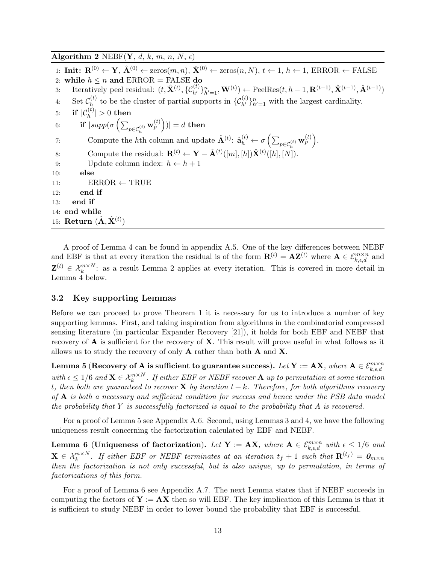Algorithm 2 NEBF(Y, d, k, m, n, N,  $\epsilon$ ) 1: Init:  $\mathbf{R}^{(0)} \leftarrow \mathbf{Y}, \hat{\mathbf{A}}^{(0)} \leftarrow \text{zeros}(m, n), \hat{\mathbf{X}}^{(0)} \leftarrow \text{zeros}(n, N), t \leftarrow 1, h \leftarrow 1, \text{ERROR} \leftarrow \overline{\text{FALSE}}$ 2: while  $h \leq n$  and ERROR = FALSE do 3: Iteratively peel residual:  $(t, \hat{\mathbf{X}}^{(t)}, \{\mathcal{C}_{h'}^{(t)}\}_{h'=1}^n, \mathbf{W}^{(t)}) \leftarrow \text{PeelRes}(t, h-1, \mathbf{R}^{(t-1)}, \hat{\mathbf{X}}^{(t-1)}, \hat{\mathbf{A}}^{(t-1)})$ 4: Set  $\mathcal{C}_h^{(t)}$ <sup>(t)</sup> to be the cluster of partial supports in  $\{\mathcal{C}_{h'}^{(t)}\}_{h'=1}^n$  with the largest cardinality.  $5: \quad\textbf{if} \,\, |\mathcal{C}_h^{(t)}| >0 \,\, \textbf{then}$ 6: **if**  $|supp(\sigma\left(\sum_{p \in C_h^{(t)}} \mathbf{w}_p^{(t)}\right))| = d$  then 7: Compute the *h*th column and update  $\hat{\mathbf{A}}^{(t)}$ :  $\hat{\mathbf{a}}_h^{(t)} \leftarrow \sigma \left( \sum_{p \in C_h^{(t)}} \mathbf{w}_p^{(t)} \right)$ . 8: Compute the residual:  $\mathbf{R}^{(t)} \leftarrow \mathbf{Y} - \hat{\mathbf{A}}^{(t)}([m], [h]) \hat{\mathbf{X}}^{(t)}([h], [N]).$ 9: Update column index:  $h \leftarrow h + 1$ 10: else 11:  $\qquad \qquad$  ERROR  $\leftarrow$  TRUE 12: end if 13: end if 14: end while 15:  $\mathbf{Return}\; (\hat{\mathbf{A}}, \hat{\mathbf{X}}^{(t)})$ 

A proof of Lemma 4 can be found in appendix A.5. One of the key differences between NEBF and EBF is that at every iteration the residual is of the form  $\mathbf{R}^{(t)} = \mathbf{A} \mathbf{Z}^{(t)}$  where  $\mathbf{A} \in \mathcal{E}_{k,\epsilon,d}^{m \times n}$  and  $\mathbf{Z}^{(t)} \in \mathcal{X}_k^{n \times N}$ : as a result Lemma 2 applies at every iteration. This is covered in more detail in Lemma 4 below.

#### 3.2 Key supporting Lemmas

Before we can proceed to prove Theorem 1 it is necessary for us to introduce a number of key supporting lemmas. First, and taking inspiration from algorithms in the combinatorial compressed sensing literature (in particular Expander Recovery [21]), it holds for both EBF and NEBF that recovery of A is sufficient for the recovery of X. This result will prove useful in what follows as it allows us to study the recovery of only  $A$  rather than both  $A$  and  $X$ .

 ${\bf L}$ emma 5 ( ${\bf Recovery}$  of  ${\bf A}$  is sufficient to guarantee success).  $Let$   ${\bf Y} := {\bf AX},$  where  ${\bf A} \in \mathcal{E}^{m \times n}_{k,\epsilon,d}$ with  $\epsilon \leq 1/6$  and  $\mathbf{X} \in \mathcal{X}_k^{n \times N}$ . If either EBF or NEBF recover  $\mathbf{A}$  up to permutation at some iteration t, then both are guaranteed to recover **X** by iteration  $t + k$ . Therefore, for both algorithms recovery of  $\bf{A}$  is both a necessary and sufficient condition for success and hence under the PSB data model the probability that  $Y$  is successfully factorized is equal to the probability that  $A$  is recovered.

For a proof of Lemma 5 see Appendix A.6. Second, using Lemmas 3 and 4, we have the following uniqueness result concerning the factorization calculated by EBF and NEBF.

Lemma 6 (Uniqueness of factorization). Let  $Y := AX$ , where  $A \in \mathcal{E}_{k,\epsilon,d}^{m \times n}$  with  $\epsilon \leq 1/6$  and  $\mathbf{X} \in \mathcal{X}_k^{n \times N}$ . If either EBF or NEBF terminates at an iteration  $t_f+1$  such that  $\mathbf{R}^{(t_f)} = \boldsymbol{0}_{m \times n}$ then the factorization is not only successful, but is also unique, up to permutation, in terms of factorizations of this form.

For a proof of Lemma 6 see Appendix A.7. The next Lemma states that if NEBF succeeds in computing the factors of  $Y := AX$  then so will EBF. The key implication of this Lemma is that it is sufficient to study NEBF in order to lower bound the probability that EBF is successful.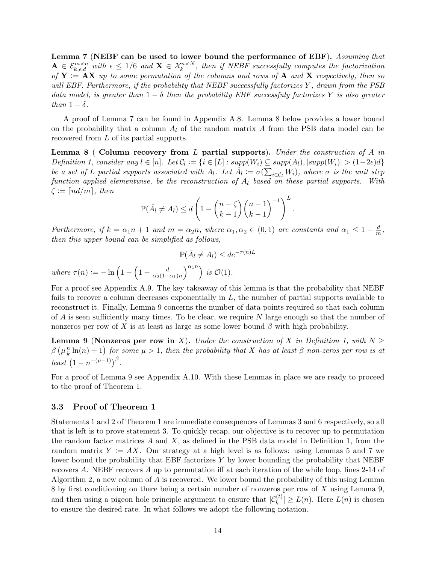Lemma 7 (NEBF can be used to lower bound the performance of EBF). Assuming that  $A \in \mathcal{E}_{k,\epsilon,d}^{m \times n}$  with  $\epsilon \leq 1/6$  and  $\mathbf{X} \in \mathcal{X}_k^{n \times N}$ , then if NEBF successfully computes the factorization of  $Y := AX$  up to some permutation of the columns and rows of A and X respectively, then so will EBF. Furthermore, if the probability that NEBF successfully factorizes Y, drawn from the PSB data model, is greater than  $1 - \delta$  then the probability EBF successfuly factorizes Y is also greater than  $1 - \delta$ .

A proof of Lemma 7 can be found in Appendix A.8. Lemma 8 below provides a lower bound on the probability that a column  $A_l$  of the random matrix A from the PSB data model can be recovered from L of its partial supports.

**Lemma 8** ( Column recovery from L partial supports). Under the construction of A in Definition 1, consider any  $l \in [n]$ . Let  $C_l := \{i \in [L] : supp(W_i) \subseteq supp(A_l), |supp(W_i)| > (1-2\epsilon)d\}$ be a set of L partial supports associated with  $A_l$ . Let  $\hat{A}_l := \sigma(\sum_{i \in C_l} W_i)$ , where  $\sigma$  is the unit step function applied elementwise, be the reconstruction of  $A_l$  based on these partial supports. With  $\zeta := \lceil nd/m \rceil$ , then

$$
\mathbb{P}(\hat{A}_l \neq A_l) \leq d \left(1 - {n - \zeta \choose k - 1} {n - 1 \choose k - 1}^{-1}\right)^L.
$$

Furthermore, if  $k = \alpha_1 n + 1$  and  $m = \alpha_2 n$ , where  $\alpha_1, \alpha_2 \in (0, 1)$  are constants and  $\alpha_1 \leq 1 - \frac{d}{m}$  $\frac{d}{m}$ , then this upper bound can be simplified as follows,

$$
\mathbb{P}(\hat{A}_l \neq A_l) \leq de^{-\tau(n)L}
$$

where  $\tau(n) := -\ln\left(1 - \left(1 - \frac{d}{\cos(1 - \frac{1}{n})}\right)\right)$  $\alpha_2(1-\alpha_1)n$  $\bigg\}^{\alpha_1 n}$  is  $\mathcal{O}(1)$ .

For a proof see Appendix A.9. The key takeaway of this lemma is that the probability that NEBF fails to recover a column decreases exponentially in  $L$ , the number of partial supports available to reconstruct it. Finally, Lemma 9 concerns the number of data points required so that each column of  $A$  is seen sufficiently many times. To be clear, we require  $N$  large enough so that the number of nonzeros per row of X is at least as large as some lower bound  $\beta$  with high probability.

**Lemma 9** (Nonzeros per row in X). Under the construction of X in Definition 1, with  $N >$  $\beta\left(\mu \frac{n}{k}\right)$  $\frac{n}{k}\ln(n) + 1$ ) for some  $\mu > 1$ , then the probability that X has at least  $\beta$  non-zeros per row is at least  $(1 - n^{-(\mu-1)})^{\beta}$ .

For a proof of Lemma 9 see Appendix A.10. With these Lemmas in place we are ready to proceed to the proof of Theorem 1.

#### 3.3 Proof of Theorem 1

Statements 1 and 2 of Theorem 1 are immediate consequences of Lemmas 3 and 6 respectively, so all that is left is to prove statement 3. To quickly recap, our objective is to recover up to permutation the random factor matrices  $A$  and  $X$ , as defined in the PSB data model in Definition 1, from the random matrix  $Y := AX$ . Our strategy at a high level is as follows: using Lemmas 5 and 7 we lower bound the probability that EBF factorizes Y by lower bounding the probability that NEBF recovers A. NEBF recovers A up to permutation iff at each iteration of the while loop, lines 2-14 of Algorithm 2, a new column of A is recovered. We lower bound the probability of this using Lemma 8 by first conditioning on there being a certain number of nonzeros per row of X using Lemma 9, and then using a pigeon hole principle argument to ensure that  $|\mathcal{C}_h^{(t)}| \ge L(n)$ . Here  $L(n)$  is chosen to ensure the desired rate. In what follows we adopt the following notation.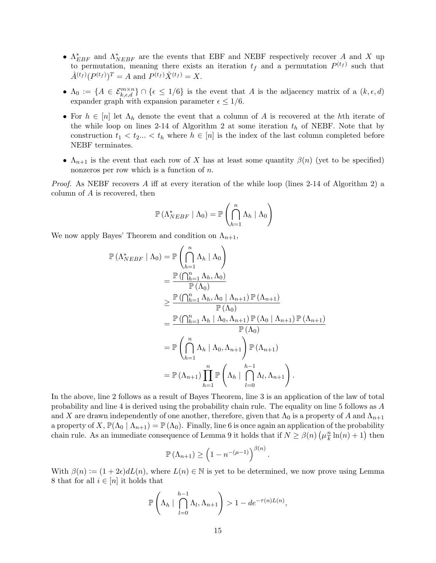- $\Lambda_{EBF}^*$  and  $\Lambda_{NEBF}^*$  are the events that EBF and NEBF respectively recover A and X up to permutation, meaning there exists an iteration  $t_f$  and a permutation  $P^{(t_f)}$  such that  $\hat{A}^{(t_f)}(P^{(t_f)})^T = A$  and  $P^{(t_f)}\hat{X}^{(t_f)} = X$ .
- $\Lambda_0 := \{A \in \mathcal{E}_{k,\epsilon,d}^{m \times n}\} \cap \{\epsilon \leq 1/6\}$  is the event that A is the adjacency matrix of a  $(k,\epsilon,d)$ expander graph with expansion parameter  $\epsilon \leq 1/6$ .
- For  $h \in [n]$  let  $\Lambda_h$  denote the event that a column of A is recovered at the hth iterate of the while loop on lines 2-14 of Algorithm 2 at some iteration  $t<sub>h</sub>$  of NEBF. Note that by construction  $t_1 < t_2... < t_h$  where  $h \in [n]$  is the index of the last column completed before NEBF terminates.
- $\Lambda_{n+1}$  is the event that each row of X has at least some quantity  $\beta(n)$  (yet to be specified) nonzeros per row which is a function of  $n$ .

*Proof.* As NEBF recovers A iff at every iteration of the while loop (lines  $2-14$  of Algorithm 2) a column of A is recovered, then

$$
\mathbb{P}\left(\Lambda_{NEBF}^* \mid \Lambda_0\right) = \mathbb{P}\left(\bigcap_{h=1}^n \Lambda_h \mid \Lambda_0\right)
$$

We now apply Bayes' Theorem and condition on  $\Lambda_{n+1}$ ,

$$
\mathbb{P}(\Lambda_{NEBF}^* | \Lambda_0) = \mathbb{P}\left(\bigcap_{h=1}^n \Lambda_h | \Lambda_0\right)
$$
  
\n
$$
= \frac{\mathbb{P}(\bigcap_{h=1}^n \Lambda_h, \Lambda_0)}{\mathbb{P}(\Lambda_0)}
$$
  
\n
$$
\geq \frac{\mathbb{P}(\bigcap_{h=1}^n \Lambda_h, \Lambda_0 | \Lambda_{n+1}) \mathbb{P}(\Lambda_{n+1})}{\mathbb{P}(\Lambda_0)}
$$
  
\n
$$
= \frac{\mathbb{P}(\bigcap_{h=1}^n \Lambda_h | \Lambda_0, \Lambda_{n+1}) \mathbb{P}(\Lambda_0 | \Lambda_{n+1}) \mathbb{P}(\Lambda_{n+1})}{\mathbb{P}(\Lambda_0)}
$$
  
\n
$$
= \mathbb{P}\left(\bigcap_{h=1}^n \Lambda_h | \Lambda_0, \Lambda_{n+1}\right) \mathbb{P}(\Lambda_{n+1})
$$
  
\n
$$
= \mathbb{P}(\Lambda_{n+1}) \prod_{h=1}^n \mathbb{P}\left(\Lambda_h | \bigcap_{l=0}^{h-1} \Lambda_l, \Lambda_{n+1}\right).
$$

In the above, line 2 follows as a result of Bayes Theorem, line 3 is an application of the law of total probability and line 4 is derived using the probability chain rule. The equality on line 5 follows as A and X are drawn independently of one another, therefore, given that  $\Lambda_0$  is a property of A and  $\Lambda_{n+1}$ a property of X,  $\mathbb{P}(\Lambda_0 | \Lambda_{n+1}) = \mathbb{P}(\Lambda_0)$ . Finally, line 6 is once again an application of the probability chain rule. As an immediate consequence of Lemma 9 it holds that if  $N \ge \beta(n)$   $(\mu_k^n)$  $\frac{n}{k}\ln(n) + 1$ ) then

$$
\mathbb{P}(\Lambda_{n+1}) \ge \left(1 - n^{-(\mu - 1)}\right)^{\beta(n)}
$$

.

With  $\beta(n) := (1 + 2\epsilon) dL(n)$ , where  $L(n) \in \mathbb{N}$  is yet to be determined, we now prove using Lemma 8 that for all  $i \in [n]$  it holds that

$$
\mathbb{P}\left(\Lambda_h \mid \bigcap_{l=0}^{h-1} \Lambda_l, \Lambda_{n+1}\right) > 1 - de^{-\tau(n)L(n)},
$$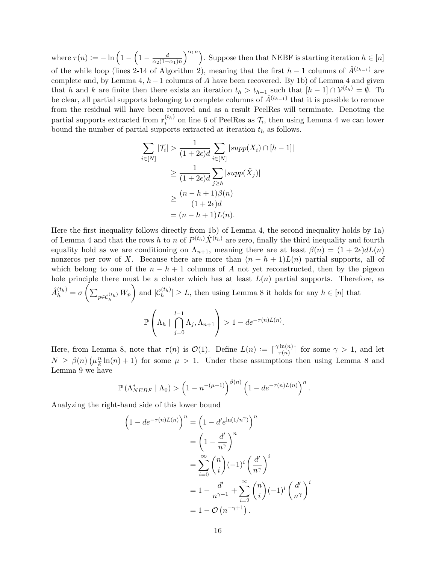where  $\tau(n) := -\ln\left(1 - \left(1 - \frac{d}{\cos(1 - \frac{1}{n})}\right)\right)$  $\overline{\alpha_2(1-\alpha_1)n}$  $\binom{\alpha_1 n}{n}$ . Suppose then that NEBF is starting iteration  $h \in [n]$ of the while loop (lines 2-14 of Algorithm 2), meaning that the first  $h-1$  columns of  $\hat{A}^{(t_{h-1})}$  are complete and, by Lemma 4, h−1 columns of A have been recovered. By 1b) of Lemma 4 and given that h and k are finite then there exists an iteration  $t_h > t_{h-1}$  such that  $[h-1] \cap \mathcal{V}^{(t_h)} = \emptyset$ . To be clear, all partial supports belonging to complete columns of  $\hat{A}^{(t_{h-1})}$  that it is possible to remove from the residual will have been removed and as a result PeelRes will terminate. Denoting the partial supports extracted from  $\mathbf{r}_i^{(t_h)}$  $i<sub>i</sub><sup>(t<sub>h</sub>)</sup>$  on line 6 of PeelRes as  $\mathcal{T}_i$ , then using Lemma 4 we can lower bound the number of partial supports extracted at iteration  $t<sub>h</sub>$  as follows.

$$
\sum_{i \in [N]} |\mathcal{T}_i| > \frac{1}{(1+2\epsilon)d} \sum_{i \in [N]} |supp(X_i) \cap [h-1]|
$$
  
\n
$$
\geq \frac{1}{(1+2\epsilon)d} \sum_{j \geq h} |supp(\tilde{X}_j)|
$$
  
\n
$$
\geq \frac{(n-h+1)\beta(n)}{(1+2\epsilon)d}
$$
  
\n
$$
= (n-h+1)L(n).
$$

Here the first inequality follows directly from 1b) of Lemma 4, the second inequality holds by 1a) of Lemma 4 and that the rows h to n of  $P^{(t_h)}\hat{X}^{(t_h)}$  are zero, finally the third inequality and fourth equality hold as we are conditioning on  $\Lambda_{n+1}$ , meaning there are at least  $\beta(n) = (1 + 2\epsilon)dL(n)$ nonzeros per row of X. Because there are more than  $(n - h + 1)L(n)$  partial supports, all of which belong to one of the  $n - h + 1$  columns of A not yet reconstructed, then by the pigeon hole principle there must be a cluster which has at least  $L(n)$  partial supports. Therefore, as  $\hat{A}_h^{(t_h)} = \sigma\left(\sum_{p \in C_h^{(t_h)}} W_p\right)$  and  $|\mathcal{C}_h^{(t_h)}| \ge L$ , then using Lemma 8 it holds for any  $h \in [n]$  that P  $\sqrt{ }$  $\left\lceil \begin{array}{c} \Lambda_h \end{array} \right\rceil$  $\bigcap^{l-1}$  $\Lambda_j, \Lambda_{n+1}$  $\setminus$  $> 1 - de^{-\tau(n)L(n)}.$ 

Here, from Lemma 8, note that  $\tau(n)$  is  $\mathcal{O}(1)$ . Define  $L(n) := \lceil \frac{\gamma \ln(n)}{\tau(n)} \rceil$  $\frac{\text{Im}(n)}{\tau(n)}$  for some  $\gamma > 1$ , and let  $N \geq \beta(n) \left(\mu \frac{n}{k}\right)$  $\frac{n}{k}\ln(n) + 1$  for some  $\mu > 1$ . Under these assumptions then using Lemma 8 and Lemma 9 we have

 $j=0$ 

$$
\mathbb{P}\left(\Lambda_{NEBF}^* \mid \Lambda_0\right) > \left(1 - n^{-(\mu - 1)}\right)^{\beta(n)} \left(1 - de^{-\tau(n)L(n)}\right)^n.
$$

Analyzing the right-hand side of this lower bound

$$
\left(1 - de^{-\tau(n)L(n)}\right)^n = \left(1 - d'e^{\ln(1/n^{\gamma})}\right)^n
$$

$$
= \left(1 - \frac{d'}{n^{\gamma}}\right)^n
$$

$$
= \sum_{i=0}^{\infty} {n \choose i} (-1)^i \left(\frac{d'}{n^{\gamma}}\right)^i
$$

$$
= 1 - \frac{d'}{n^{\gamma-1}} + \sum_{i=2}^{\infty} {n \choose i} (-1)^i \left(\frac{d'}{n^{\gamma}}\right)
$$

$$
= 1 - \mathcal{O}\left(n^{-\gamma+1}\right).
$$

i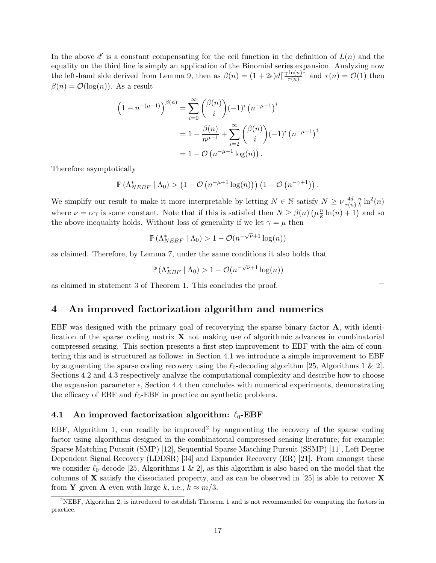In the above  $d'$  is a constant compensating for the ceil function in the definition of  $L(n)$  and the equality on the third line is simply an application of the Binomial series expansion. Analyzing now the left-hand side derived from Lemma 9, then as  $\beta(n) = (1 + 2\epsilon) d \left[ \frac{\gamma \ln(n)}{\tau(n)} \right]$  $\left[\frac{\text{Im}(n)}{\tau(n)}\right]$  and  $\tau(n) = \mathcal{O}(1)$  then  $\beta(n) = \mathcal{O}(\log(n))$ . As a result

$$
\left(1 - n^{-(\mu - 1)}\right)^{\beta(n)} = \sum_{i=0}^{\infty} {\beta(n) \choose i} (-1)^i (n^{-\mu + 1})^i
$$
  
=  $1 - \frac{\beta(n)}{n^{\mu - 1}} + \sum_{i=2}^{\infty} {\beta(n) \choose i} (-1)^i (n^{-\mu + 1})^i$   
=  $1 - \mathcal{O}(n^{-\mu + 1} \log(n)).$ 

Therefore asymptotically

$$
\mathbb{P}\left(\Lambda_{NEBF}^* \mid \Lambda_0\right) > \left(1 - \mathcal{O}\left(n^{-\mu+1}\log(n)\right)\right)\left(1 - \mathcal{O}\left(n^{-\gamma+1}\right)\right).
$$

We simplify our result to make it more interpretable by letting  $N \in \mathbb{N}$  satisfy  $N \geq \nu \frac{4d}{\tau(n)}$  $\tau(n)$ n  $\frac{n}{k}\ln^2(n)$ where  $\nu = \alpha \gamma$  is some constant. Note that if this is satisfied then  $N \ge \beta(n)$   $(\mu_k^n)$  $\frac{n}{k}\ln(n) + 1$  and so the above inequality holds. Without loss of generality if we let  $\gamma = \mu$  then

$$
\mathbb{P}\left(\Lambda^*_{NEBF} \mid \Lambda_0\right) > 1 - \mathcal{O}(n^{-\sqrt{\nu}+1}\log(n))
$$

as claimed. Therefore, by Lemma 7, under the same conditions it also holds that

$$
\mathbb{P}\left(\Lambda_{EBF}^* \mid \Lambda_0\right) > 1 - \mathcal{O}(n^{-\sqrt{\nu}+1}\log(n))
$$

as claimed in statement 3 of Theorem 1. This concludes the proof.

# 4 An improved factorization algorithm and numerics

EBF was designed with the primary goal of recoverying the sparse binary factor A, with identification of the sparse coding matrix  $\bf{X}$  not making use of algorithmic advances in combinatorial compressed sensing. This section presents a first step improvement to EBF with the aim of countering this and is structured as follows: in Section 4.1 we introduce a simple improvement to EBF by augmenting the sparse coding recovery using the  $\ell_0$ -decoding algorithm [25, Algorithms 1 & 2]. Sections 4.2 and 4.3 respectively analyze the computational complexity and describe how to choose the expansion parameter  $\epsilon$ , Section 4.4 then concludes with numerical experiments, demonstrating the efficacy of EBF and  $\ell_0$ -EBF in practice on synthetic problems.

#### 4.1 An improved factorization algorithm:  $\ell_0$ -EBF

EBF, Algorithm 1, can readily be improved<sup>2</sup> by augmenting the recovery of the sparse coding factor using algorithms designed in the combinatorial compressed sensing literature; for example: Sparse Matching Putsuit (SMP) [12], Sequential Sparse Matching Pursuit (SSMP) [11], Left Degree Dependent Signal Recovery (LDDSR) [34] and Expander Recovery (ER) [21]. From amongst these we consider  $\ell_0$ -decode [25, Algorithms 1 & 2], as this algorithm is also based on the model that the columns of **X** satisfy the dissociated property, and as can be observed in [25] is able to recover **X** from **Y** given **A** even with large k, i.e.,  $k \approx m/3$ .

 $\Box$ 

<sup>2</sup>NEBF, Algorithm 2, is introduced to establish Theorem 1 and is not recommended for computing the factors in practice.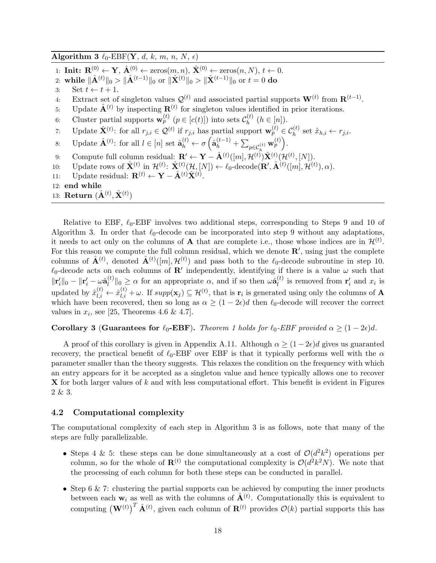Algorithm 3  $\ell_0$ -EBF(Y, d, k, m, n, N,  $\epsilon$ )

- 1: Init:  $\mathbf{R}^{(0)} \leftarrow \mathbf{Y}, \hat{\mathbf{A}}^{(0)} \leftarrow \text{zeros}(m, n), \hat{\mathbf{X}}^{(0)} \leftarrow \text{zeros}(n, N), t \leftarrow 0.$
- 2: while  $\|\hat{\mathbf{A}}^{(t)}\|_0 > \|\hat{\mathbf{A}}^{(t-1)}\|_0$  or  $\|\hat{\mathbf{X}}^{(t)}\|_0 > \|\hat{\mathbf{X}}^{(t-1)}\|_0$  or  $t = 0$  do
- 3: Set  $t \leftarrow t + 1$ .
- 4: Extract set of singleton values  $\mathcal{Q}^{(t)}$  and associated partial supports  $\mathbf{W}^{(t)}$  from  $\mathbf{R}^{(t-1)}$ .

.

- 5: Update  $\hat{\mathbf{A}}^{(t)}$  by inspecting  $\mathbf{R}^{(t)}$  for singleton values identified in prior iterations.
- 6: Cluster partial supports  $\mathbf{w}_p^{(t)}$   $(p \in [c(t)])$  into sets  $\mathcal{C}_h^{(t)}$  $h^{(t)}$   $(h \in [n])$ .
- 7: Update  $\hat{\mathbf{X}}^{(t)}$ : for all  $r_{j,i} \in \mathcal{Q}^{(t)}$  if  $r_{j,i}$  has partial support  $\mathbf{w}_p^{(t)} \in \mathcal{C}_h^{(t)}$  set  $\hat{x}_{h,i} \leftarrow r_{j,i}$ .

8: Update 
$$
\hat{\mathbf{A}}^{(t)}
$$
: for all  $l \in [n]$  set  $\hat{\mathbf{a}}_h^{(t)} \leftarrow \sigma \left( \hat{\mathbf{a}}_h^{(t-1)} + \sum_{p \in C_h^{(t)}} \mathbf{w}_p^{(t)} \right)$ .  
9: Compute full column residual:  $\mathbf{R}' \leftarrow \mathbf{Y} - \hat{\mathbf{A}}^{(t)}([m], \mathcal{H}^{(t)}) \hat{\mathbf{X}}^{(t)}(\mathcal{H}^{(t)}, [N])$ .

- 
- 10: Update rows of  $\hat{\mathbf{X}}^{(t)}$  in  $\mathcal{H}^{(t)}$ :  $\hat{\mathbf{X}}^{(t)}(\mathcal{H}, [N]) \leftarrow \ell_0$ -decode $(\mathbf{R}', \hat{\mathbf{A}}^{(t)}([m], \mathcal{H}^{(t)}), \alpha)$ .
- 11: Update residual:  $\mathbf{R}^{(t)} \leftarrow \mathbf{Y} \hat{\mathbf{A}}^{(t)} \hat{\mathbf{X}}^{(t)}$ .
- 12: end while
- 13: Return  $(\hat{\mathbf{A}}^{(t)}, \hat{\mathbf{X}}^{(t)})$

Relative to EBF,  $\ell_0$ -EBF involves two additional steps, corresponding to Steps 9 and 10 of Algorithm 3. In order that  $\ell_0$ -decode can be incorporated into step 9 without any adaptations, it needs to act only on the columns of **A** that are complete i.e., those whose indices are in  $\mathcal{H}^{(t)}$ . For this reason we compute the full column residual, which we denote  $\mathbb{R}'$ , using just the complete columns of  $\hat{\mathbf{A}}^{(t)}$ , denoted  $\hat{\mathbf{A}}^{(t)}([m], \mathcal{H}^{(t)})$  and pass both to the  $\ell_0$ -decode subroutine in step 10.  $\ell_0$ -decode acts on each columns of  $\mathbf{R}'$  independently, identifying if there is a value  $\omega$  such that  $\|\mathbf{r}_i'\|_0 - \|\mathbf{r}_i' - \omega \hat{\mathbf{a}}_l^{(t)}$  $\|\hat{u}_l^{(t)}\|_0 \geq \alpha$  for an appropriate  $\alpha$ , and if so then  $\omega \hat{a}_l^{(t)}$  $\mathbf{r}'_i$  is removed from  $\mathbf{r}'_i$  and  $x_i$  is updated by  $\hat{x}_{l,i}^{(t)} \leftarrow \hat{x}_{l,i}^{(t)} + \omega$ . If  $supp(\mathbf{x}_j) \subseteq \mathcal{H}^{(t)}$ , that is  $\mathbf{r}_i$  is generated using only the columns of **A** which have been recovered, then so long as  $\alpha \geq (1-2\epsilon)d$  then  $\ell_0$ -decode will recover the correct values in  $x_i$ , see [25, Theorems 4.6 & 4.7].

# Corollary 3 (Guarantees for  $\ell_0$ -EBF). Theorem 1 holds for  $\ell_0$ -EBF provided  $\alpha \geq (1 - 2\epsilon)d$ .

A proof of this corollary is given in Appendix A.11. Although  $\alpha \geq (1-2\epsilon)d$  gives us guaranted recovery, the practical benefit of  $\ell_0$ -EBF over EBF is that it typically performs well with the  $\alpha$ parameter smaller than the theory suggests. This relaxes the condition on the frequency with which an entry appears for it be accepted as a singleton value and hence typically allows one to recover  $\bf{X}$  for both larger values of k and with less computational effort. This benefit is evident in Figures 2 & 3.

#### 4.2 Computational complexity

The computational complexity of each step in Algorithm 3 is as follows, note that many of the steps are fully parallelizable.

- Steps 4 & 5: these steps can be done simultaneously at a cost of  $\mathcal{O}(d^2k^2)$  operations per column, so for the whole of  $\mathbf{R}^{(t)}$  the computational complexity is  $\mathcal{O}(d^2k^2N)$ . We note that the processing of each column for both these steps can be conducted in parallel.
- Step 6  $\&$  7: clustering the partial supports can be achieved by computing the inner products between each  $w_i$  as well as with the columns of  $\hat{A}^{(t)}$ . Computationally this is equivalent to computing  $(\mathbf{W}^{(t)})^T \hat{\mathbf{A}}^{(t)}$ , given each column of  $\mathbf{R}^{(t)}$  provides  $\mathcal{O}(k)$  partial supports this has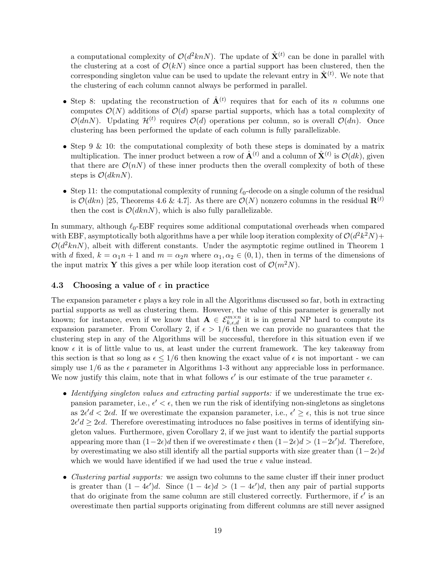a computational complexity of  $\mathcal{O}(d^2kn)$ . The update of  $\hat{\mathbf{X}}^{(t)}$  can be done in parallel with the clustering at a cost of  $\mathcal{O}(k)$  since once a partial support has been clustered, then the corresponding singleton value can be used to update the relevant entry in  $\hat{\mathbf{X}}^{(t)}$ . We note that the clustering of each column cannot always be performed in parallel.

- Step 8: updating the reconstruction of  $\hat{A}^{(t)}$  requires that for each of its *n* columns one computes  $\mathcal{O}(N)$  additions of  $\mathcal{O}(d)$  sparse partial supports, which has a total complexity of  $\mathcal{O}(dnN)$ . Updating  $\mathcal{H}^{(t)}$  requires  $\mathcal{O}(d)$  operations per column, so is overall  $\mathcal{O}(dn)$ . Once clustering has been performed the update of each column is fully parallelizable.
- Step 9 & 10: the computational complexity of both these steps is dominated by a matrix multiplication. The inner product between a row of  $\hat{\mathbf{A}}^{(t)}$  and a column of  $\hat{\mathbf{X}}^{(t)}$  is  $\mathcal{O}(dk)$ , given that there are  $\mathcal{O}(n)$  of these inner products then the overall complexity of both of these steps is  $\mathcal{O}(dknN)$ .
- Step 11: the computational complexity of running  $\ell_0$ -decode on a single column of the residual is  $\mathcal{O}(dkn)$  [25, Theorems 4.6 & 4.7]. As there are  $\mathcal{O}(N)$  nonzero columns in the residual  $\mathbf{R}^{(t)}$ then the cost is  $\mathcal{O}(dkn)$ , which is also fully parallelizable.

In summary, although  $\ell_0$ -EBF requires some additional computational overheads when compared with EBF, asymptotically both algorithms have a per while loop iteration complexity of  $\mathcal{O}(d^2k^2N)$ +  $O(d^2knN)$ , albeit with different constants. Under the asymptotic regime outlined in Theorem 1 with d fixed,  $k = \alpha_1 n + 1$  and  $m = \alpha_2 n$  where  $\alpha_1, \alpha_2 \in (0, 1)$ , then in terms of the dimensions of the input matrix Y this gives a per while loop iteration cost of  $\mathcal{O}(m^2N)$ .

#### 4.3 Choosing a value of  $\epsilon$  in practice

The expansion parameter  $\epsilon$  plays a key role in all the Algorithms discussed so far, both in extracting partial supports as well as clustering them. However, the value of this parameter is generally not known; for instance, even if we know that  $\mathbf{A} \in \mathcal{E}_{k,\epsilon,d}^{m \times n}$  it is in general NP hard to compute its expansion parameter. From Corollary 2, if  $\epsilon > 1/6$  then we can provide no guarantees that the clustering step in any of the Algorithms will be successful, therefore in this situation even if we know  $\epsilon$  it is of little value to us, at least under the current framework. The key takeaway from this section is that so long as  $\epsilon \leq 1/6$  then knowing the exact value of  $\epsilon$  is not important - we can simply use  $1/6$  as the  $\epsilon$  parameter in Algorithms 1-3 without any appreciable loss in performance. We now justify this claim, note that in what follows  $\epsilon'$  is our estimate of the true parameter  $\epsilon$ .

- Identifying singleton values and extracting partial supports: if we underestimate the true expansion parameter, i.e.,  $\epsilon' < \epsilon$ , then we run the risk of identifying non-singletons as singletons as  $2\epsilon' d < 2\epsilon d$ . If we overestimate the expansion parameter, i.e.,  $\epsilon' \geq \epsilon$ , this is not true since  $2\epsilon' d \geq 2\epsilon d$ . Therefore overestimating introduces no false positives in terms of identifying singleton values. Furthermore, given Corollary 2, if we just want to identify the partial supports appearing more than  $(1-2\epsilon)d$  then if we overestimate  $\epsilon$  then  $(1-2\epsilon)d > (1-2\epsilon')d$ . Therefore, by overestimating we also still identify all the partial supports with size greater than  $(1-2\epsilon)d$ which we would have identified if we had used the true  $\epsilon$  value instead.
- Clustering partial supports: we assign two columns to the same cluster iff their inner product is greater than  $(1-4\epsilon')d$ . Since  $(1-4\epsilon)d > (1-4\epsilon')d$ , then any pair of partial supports that do originate from the same column are still clustered correctly. Furthermore, if  $\epsilon'$  is an overestimate then partial supports originating from different columns are still never assigned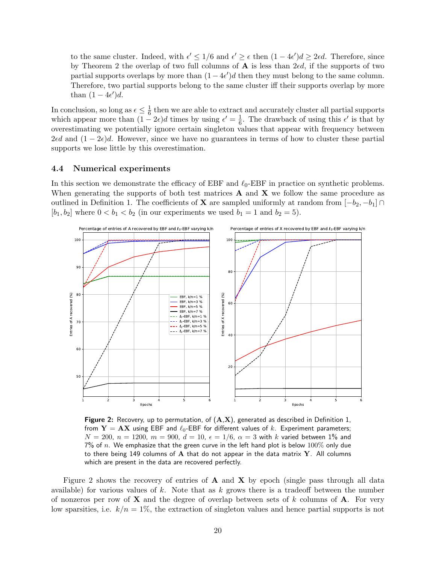to the same cluster. Indeed, with  $\epsilon' \leq 1/6$  and  $\epsilon' \geq \epsilon$  then  $(1-4\epsilon')d \geq 2\epsilon d$ . Therefore, since by Theorem 2 the overlap of two full columns of  $A$  is less than 2 $\epsilon d$ , if the supports of two partial supports overlaps by more than  $(1-4\epsilon')d$  then they must belong to the same column. Therefore, two partial supports belong to the same cluster iff their supports overlap by more than  $(1-4\epsilon')d$ .

In conclusion, so long as  $\epsilon \leq \frac{1}{6}$  $\frac{1}{6}$  then we are able to extract and accurately cluster all partial supports which appear more than  $(1 - 2\epsilon)d$  times by using  $\epsilon' = \frac{1}{6}$  $\frac{1}{6}$ . The drawback of using this  $\epsilon'$  is that by overestimating we potentially ignore certain singleton values that appear with frequency between  $2\epsilon d$  and  $(1-2\epsilon)d$ . However, since we have no guarantees in terms of how to cluster these partial supports we lose little by this overestimation.

#### 4.4 Numerical experiments

In this section we demonstrate the efficacy of EBF and  $\ell_0$ -EBF in practice on synthetic problems. When generating the supports of both test matrices  $A$  and  $X$  we follow the same procedure as outlined in Definition 1. The coefficients of **X** are sampled uniformly at random from  $[-b_2, -b_1] \cap$  $[b_1, b_2]$  where  $0 < b_1 < b_2$  (in our experiments we used  $b_1 = 1$  and  $b_2 = 5$ ).



**Figure 2:** Recovery, up to permutation, of  $(A,X)$ , generated as described in Definition 1, from  $Y = AX$  using EBF and  $\ell_0$ -EBF for different values of k. Experiment parameters;  $N = 200$ ,  $n = 1200$ ,  $m = 900$ ,  $d = 10$ ,  $\epsilon = 1/6$ ,  $\alpha = 3$  with k varied between 1% and 7% of n. We emphasize that the green curve in the left hand plot is below  $100\%$  only due to there being 149 columns of  $A$  that do not appear in the data matrix  $Y$ . All columns which are present in the data are recovered perfectly.

Figure 2 shows the recovery of entries of  $A$  and  $X$  by epoch (single pass through all data available) for various values of  $k$ . Note that as  $k$  grows there is a tradeoff between the number of nonzeros per row of  $X$  and the degree of overlap between sets of k columns of  $A$ . For very low sparsities, i.e.  $k/n = 1\%$ , the extraction of singleton values and hence partial supports is not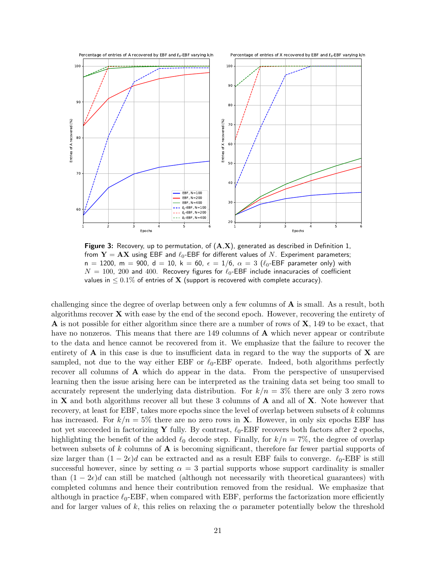

Figure 3: Recovery, up to permutation, of  $(A,X)$ , generated as described in Definition 1, from  $Y = AX$  using EBF and  $\ell_0$ -EBF for different values of N. Experiment parameters;  $n = 1200$ ,  $m = 900$ ,  $d = 10$ ,  $k = 60$ ,  $\epsilon = 1/6$ ,  $\alpha = 3$  ( $\ell_0$ -EBF parameter only) with  $N = 100$ , 200 and 400. Recovery figures for  $\ell_0$ -EBF include innacuracies of coefficient values in  $\leq 0.1\%$  of entries of **X** (support is recovered with complete accuracy).

challenging since the degree of overlap between only a few columns of A is small. As a result, both algorithms recover  $X$  with ease by the end of the second epoch. However, recovering the entirety of **A** is not possible for either algorithm since there are a number of rows of  $X$ , 149 to be exact, that have no nonzeros. This means that there are 149 columns of **A** which never appear or contribute to the data and hence cannot be recovered from it. We emphasize that the failure to recover the entirety of  $\bf{A}$  in this case is due to insufficient data in regard to the way the supports of  $\bf{X}$  are sampled, not due to the way either EBF or  $\ell_0$ -EBF operate. Indeed, both algorithms perfectly recover all columns of A which do appear in the data. From the perspective of unsupervised learning then the issue arising here can be interpreted as the training data set being too small to accurately represent the underlying data distribution. For  $k/n = 3\%$  there are only 3 zero rows in  $X$  and both algorithms recover all but these 3 columns of  $A$  and all of  $X$ . Note however that recovery, at least for EBF, takes more epochs since the level of overlap between subsets of k columns has increased. For  $k/n = 5\%$  there are no zero rows in **X**. However, in only six epochs EBF has not yet succeeded in factorizing Y fully. By contrast,  $\ell_0$ -EBF recovers both factors after 2 epochs, highlighting the benefit of the added  $\ell_0$  decode step. Finally, for  $k/n = 7\%$ , the degree of overlap between subsets of  $k$  columns of  $A$  is becoming significant, therefore far fewer partial supports of size larger than  $(1 - 2\epsilon)d$  can be extracted and as a result EBF fails to converge.  $\ell_0$ -EBF is still successful however, since by setting  $\alpha = 3$  partial supports whose support cardinality is smaller than  $(1 - 2\epsilon)d$  can still be matched (although not necessarily with theoretical guarantees) with completed columns and hence their contribution removed from the residual. We emphasize that although in practice  $\ell_0$ -EBF, when compared with EBF, performs the factorization more efficiently and for larger values of k, this relies on relaxing the  $\alpha$  parameter potentially below the threshold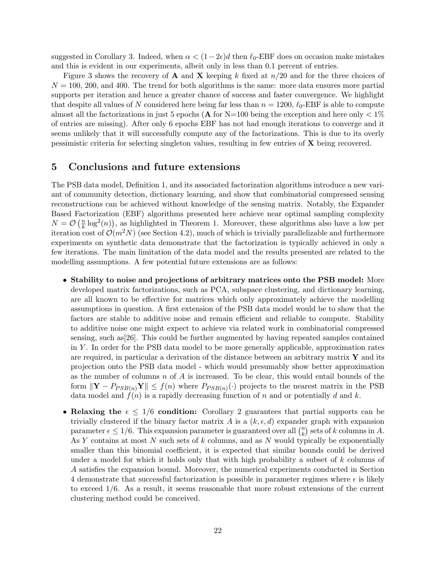suggested in Corollary 3. Indeed, when  $\alpha < (1-2\epsilon)d$  then  $\ell_0$ -EBF does on occasion make mistakes and this is evident in our experiments, albeit only in less than 0.1 percent of entries.

Figure 3 shows the recovery of **A** and **X** keeping k fixed at  $n/20$  and for the three choices of  $N = 100, 200,$  and 400. The trend for both algorithms is the same: more data ensures more partial supports per iteration and hence a greater chance of success and faster convergence. We highlight that despite all values of N considered here being far less than  $n = 1200$ ,  $\ell_0$ -EBF is able to compute almost all the factorizations in just 5 epochs (**A** for N=100 being the exception and here only  $\lt 1\%$ of entries are missing). After only 6 epochs EBF has not had enough iterations to converge and it seems unlikely that it will successfully compute any of the factorizations. This is due to its overly pessimistic criteria for selecting singleton values, resulting in few entries of X being recovered.

### 5 Conclusions and future extensions

The PSB data model, Definition 1, and its associated factorization algorithms introduce a new variant of community detection, dictionary learning, and show that combinatorial compressed sensing reconstructions can be achieved without knowledge of the sensing matrix. Notably, the Expander Based Factorization (EBF) algorithms presented here achieve near optimal sampling complexity  $N = \mathcal{O}\left(\frac{n}{k}\right)$  $\frac{n}{k} \log^2(n)$ , as highlighted in Theorem 1. Moreover, these algorithms also have a low per iteration cost of  $\mathcal{O}(m^2N)$  (see Section 4.2), much of which is trivially parallelizable and furthermore experiments on synthetic data demonstrate that the factorization is typically achieved in only a few iterations. The main limitation of the data model and the results presented are related to the modelling assumptions. A few potential future extensions are as follows:

- Stability to noise and projections of arbitrary matrices onto the PSB model: More developed matrix factorizations, such as PCA, subspace clustering, and dictionary learning, are all known to be effective for matrices which only approximately achieve the modelling assumptions in question. A first extension of the PSB data model would be to show that the factors are stable to additive noise and remain efficient and reliable to compute. Stability to additive noise one might expect to achieve via related work in combinatorial compressed sensing, such as[26]. This could be further augmented by having repeated samples contained in  $Y$ . In order for the PSB data model to be more generally applicable, approximation rates are required, in particular a derivation of the distance between an arbitrary matrix  $\bf{Y}$  and its projection onto the PSB data model - which would presumably show better approximation as the number of columns  $n$  of  $A$  is increased. To be clear, this would entail bounds of the form  $\|\mathbf{Y} - P_{PSB(n)}\mathbf{Y}\| \leq f(n)$  where  $P_{PSB(n)}(\cdot)$  projects to the nearest matrix in the PSB data model and  $f(n)$  is a rapidly decreasing function of n and or potentially d and k.
- Relaxing the  $\epsilon \leq 1/6$  condition: Corollary 2 guarantees that partial supports can be trivially clustered if the binary factor matrix A is a  $(k, \epsilon, d)$  expander graph with expansion parameter  $\epsilon \leq 1/6$ . This expansion parameter is guaranteed over all  $\binom{n}{k}$  ${k \choose k}$  sets of k columns in A. As  $Y$  contains at most  $N$  such sets of  $k$  columns, and as  $N$  would typically be exponentially smaller than this binomial coefficient, it is expected that similar bounds could be derived under a model for which it holds only that with high probability a subset of  $k$  columns of A satisfies the expansion bound. Moreover, the numerical experiments conducted in Section 4 demonstrate that successful factorization is possible in parameter regimes where  $\epsilon$  is likely to exceed 1/6. As a result, it seems reasonable that more robust extensions of the current clustering method could be conceived.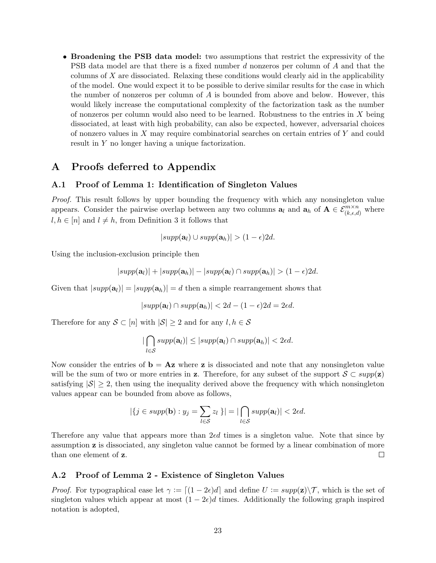• Broadening the PSB data model: two assumptions that restrict the expressivity of the PSB data model are that there is a fixed number d nonzeros per column of A and that the columns of X are dissociated. Relaxing these conditions would clearly aid in the applicability of the model. One would expect it to be possible to derive similar results for the case in which the number of nonzeros per column of A is bounded from above and below. However, this would likely increase the computational complexity of the factorization task as the number of nonzeros per column would also need to be learned. Robustness to the entries in  $X$  being dissociated, at least with high probability, can also be expected, however, adversarial choices of nonzero values in X may require combinatorial searches on certain entries of Y and could result in Y no longer having a unique factorization.

# A Proofs deferred to Appendix

#### A.1 Proof of Lemma 1: Identification of Singleton Values

Proof. This result follows by upper bounding the frequency with which any nonsingleton value appears. Consider the pairwise overlap between any two columns  $a_l$  and  $a_h$  of  $A \in \mathcal{E}_{(k,\epsilon,d)}^{m \times n}$  where  $l, h \in [n]$  and  $l \neq h$ , from Definition 3 it follows that

$$
|supp(\mathbf{a}_l) \cup supp(\mathbf{a}_h)| > (1-\epsilon)2d.
$$

Using the inclusion-exclusion principle then

$$
|supp(\mathbf{a}_l)|+|supp(\mathbf{a}_h)|-|supp(\mathbf{a}_l)\cap supp(\mathbf{a}_h)|>(1-\epsilon)2d.
$$

Given that  $|supp(\mathbf{a}_l)| = |supp(\mathbf{a}_h)| = d$  then a simple rearrangement shows that

$$
|supp(\mathbf{a}_l) \cap supp(\mathbf{a}_h)| < 2d - (1 - \epsilon)2d = 2\epsilon d.
$$

Therefore for any  $S \subset [n]$  with  $|S| \geq 2$  and for any  $l, h \in S$ 

$$
|\bigcap_{l\in\mathcal{S}}supp(\mathbf{a}_l)|\leq |supp(\mathbf{a}_l)\cap supp(\mathbf{a}_h)|<2\epsilon d.
$$

Now consider the entries of  $\mathbf{b} = \mathbf{A} \mathbf{z}$  where **z** is dissociated and note that any nonsingleton value will be the sum of two or more entries in z. Therefore, for any subset of the support  $S \subset supp(z)$ satisfying  $|S| > 2$ , then using the inequality derived above the frequency with which nonsingleton values appear can be bounded from above as follows,

$$
|\{j \in \text{supp}(\mathbf{b}) : y_j = \sum_{l \in \mathcal{S}} z_l\}| = |\bigcap_{l \in \mathcal{S}} \text{supp}(\mathbf{a}_l)| < 2\epsilon d.
$$

Therefore any value that appears more than  $2\epsilon d$  times is a singleton value. Note that since by assumption z is dissociated, any singleton value cannot be formed by a linear combination of more than one element of z.  $\Box$ 

#### A.2 Proof of Lemma 2 - Existence of Singleton Values

*Proof.* For typographical ease let  $\gamma := \left[ (1 - 2\epsilon)d \right]$  and define  $U := \text{supp}(\mathbf{z})\setminus\mathcal{T}$ , which is the set of singleton values which appear at most  $(1 - 2\epsilon)d$  times. Additionally the following graph inspired notation is adopted,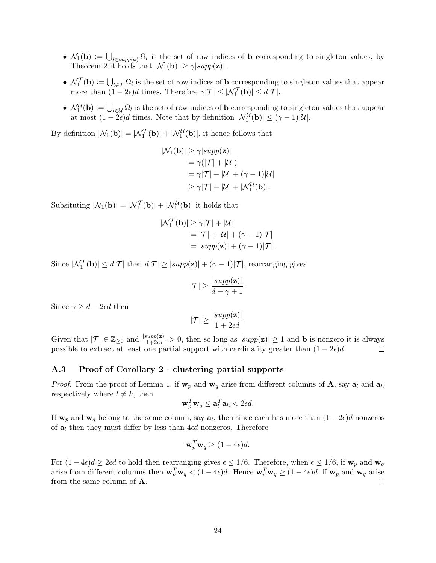- $\mathcal{N}_1(\mathbf{b}) := \bigcup_{l \in supp(\mathbf{z})} \Omega_l$  is the set of row indices of **b** corresponding to singleton values, by Theorem 2 it holds that  $|\mathcal{N}_1(\mathbf{b})| \geq \gamma |\text{supp}(\mathbf{z})|$ .
- $\mathcal{N}_1^{\mathcal{T}}(\mathbf{b}) := \bigcup_{l \in \mathcal{T}} \Omega_l$  is the set of row indices of **b** corresponding to singleton values that appear more than  $(1 - 2\epsilon)d$  times. Therefore  $\gamma|\mathcal{T}| \leq |\mathcal{N}_1^{\mathcal{T}}(\mathbf{b})| \leq d|\mathcal{T}|$ .
- $\mathcal{N}_1^{\mathcal{U}}(\mathbf{b}) := \bigcup_{l \in \mathcal{U}} \Omega_l$  is the set of row indices of **b** corresponding to singleton values that appear at most  $(1 - 2\epsilon)d$  times. Note that by definition  $|\mathcal{N}_1^{\mathcal{U}}(\mathbf{b})| \leq (\gamma - 1)|\mathcal{U}|$ .

By definition  $|\mathcal{N}_1(\mathbf{b})| = |\mathcal{N}_1^{\mathcal{T}}(\mathbf{b})| + |\mathcal{N}_1^{\mathcal{U}}(\mathbf{b})|$ , it hence follows that

$$
|\mathcal{N}_1(\mathbf{b})| \ge \gamma |\text{supp}(\mathbf{z})|
$$
  
=\gamma (|\mathcal{T}| + |\mathcal{U}|)  
=\gamma |\mathcal{T}| + |\mathcal{U}| + (\gamma - 1)|\mathcal{U}|  
\ge \gamma |\mathcal{T}| + |\mathcal{U}| + |\mathcal{N}\_1^{\mathcal{U}}(\mathbf{b})|.

Subsituting  $|\mathcal{N}_1(\mathbf{b})| = |\mathcal{N}_1^{\mathcal{T}}(\mathbf{b})| + |\mathcal{N}_1^{\mathcal{U}}(\mathbf{b})|$  it holds that

$$
|\mathcal{N}_1^{\mathcal{T}}(\mathbf{b})| \ge \gamma |\mathcal{T}| + |\mathcal{U}|
$$
  
= |\mathcal{T}| + |\mathcal{U}| + (\gamma - 1)|\mathcal{T}|  
= |supp(\mathbf{z})| + (\gamma - 1)|\mathcal{T}|.

Since  $|\mathcal{N}_1^{\mathcal{T}}(\mathbf{b})| \le d|\mathcal{T}|$  then  $d|\mathcal{T}| \ge |supp(\mathbf{z})| + (\gamma - 1)|\mathcal{T}|$ , rearranging gives

$$
|\mathcal{T}| \ge \frac{|supp(\mathbf{z})|}{d - \gamma + 1}.
$$

Since  $\gamma \geq d - 2\epsilon d$  then

$$
|\mathcal{T}| \ge \frac{|supp(\mathbf{z})|}{1 + 2\epsilon d}.
$$

Given that  $|\mathcal{T}| \in \mathbb{Z}_{\geq 0}$  and  $\frac{|supp(\mathbf{z})|}{1+2\epsilon d} > 0$ , then so long as  $|supp(\mathbf{z})| \geq 1$  and **b** is nonzero it is always possible to extract at least one partial support with cardinality greater than  $(1 - 2\epsilon)d$ .

#### A.3 Proof of Corollary 2 - clustering partial supports

*Proof.* From the proof of Lemma 1, if  $w_p$  and  $w_q$  arise from different columns of A, say  $a_l$  and  $a_h$ respectively where  $l \neq h$ , then

$$
\mathbf{w}_p^T \mathbf{w}_q \leq \mathbf{a}_l^T \mathbf{a}_h < 2\epsilon d.
$$

If  $w_p$  and  $w_q$  belong to the same column, say  $a_l$ , then since each has more than  $(1 - 2\epsilon)d$  nonzeros of  $a_l$  then they must differ by less than 4 $\epsilon d$  nonzeros. Therefore

$$
\mathbf{w}_p^T \mathbf{w}_q \ge (1 - 4\epsilon)d.
$$

For  $(1-4\epsilon)d \geq 2\epsilon d$  to hold then rearranging gives  $\epsilon \leq 1/6$ . Therefore, when  $\epsilon \leq 1/6$ , if  $\mathbf{w}_p$  and  $\mathbf{w}_q$ arise from different columns then  $\mathbf{w}_p^T \mathbf{w}_q < (1-4\epsilon)d$ . Hence  $\mathbf{w}_p^T \mathbf{w}_q \ge (1-4\epsilon)d$  iff  $\mathbf{w}_p$  and  $\mathbf{w}_q$  arise from the same column of A. П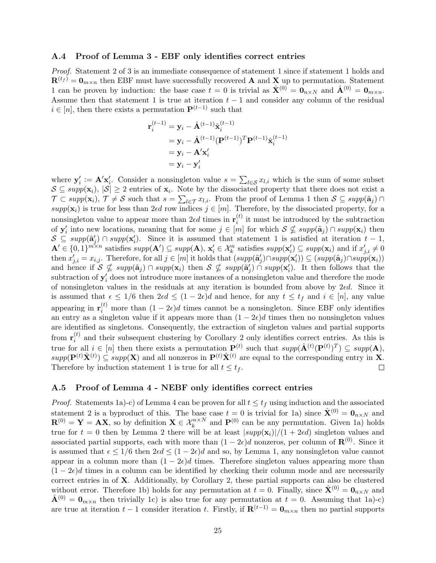#### A.4 Proof of Lemma 3 - EBF only identifies correct entries

Proof. Statement 2 of 3 is an immediate consequence of statement 1 since if statement 1 holds and  $\mathbf{R}^{(t_f)} = \mathbf{0}_{m \times n}$  then EBF must have successfully recovered **A** and **X** up to permutation. Statement 1 can be proven by induction: the base case  $t = 0$  is trivial as  $\hat{\mathbf{X}}^{(0)} = \mathbf{0}_{n \times N}$  and  $\hat{\mathbf{A}}^{(0)} = \mathbf{0}_{m \times n}$ . Assume then that statement 1 is true at iteration  $t - 1$  and consider any column of the residual  $i \in [n]$ , then there exists a permutation  $\mathbf{P}^{(t-1)}$  such that

$$
\mathbf{r}_{i}^{(t-1)} = \mathbf{y}_{i} - \hat{\mathbf{A}}^{(t-1)} \hat{\mathbf{x}}_{i}^{(t-1)}
$$
  
=  $\mathbf{y}_{i} - \hat{\mathbf{A}}^{(t-1)} (\mathbf{P}^{(t-1)})^{T} \mathbf{P}^{(t-1)} \hat{\mathbf{x}}_{i}^{(t-1)}$   
=  $\mathbf{y}_{i} - \mathbf{A}' \mathbf{x}_{i}'$   
=  $\mathbf{y}_{i} - \mathbf{y}_{i}'$ 

where  $\mathbf{y}'_i := \mathbf{A}' \mathbf{x}'_i$ . Consider a nonsingleton value  $s = \sum_{l \in \mathcal{S}} x_{l,i}$  which is the sum of some subset  $\mathcal{S} \subseteq supp(\mathbf{x}_i), |\mathcal{S}| \geq 2$  entries of  $\mathbf{x}_i$ . Note by the dissociated property that there does not exist a  $\mathcal{T} \subset supp(\mathbf{x}_i)$ ,  $\mathcal{T} \neq \mathcal{S}$  such that  $s = \sum_{l \in \mathcal{T}} x_{l,i}$ . From the proof of Lemma 1 then  $\mathcal{S} \subseteq supp(\tilde{\mathbf{a}}_j) \cap$ supp( $\mathbf{x}_i$ ) is true for less than 2 $\epsilon d$  row indices  $j \in [m]$ . Therefore, by the dissociated property, for a nonsingleton value to appear more than  $2 \epsilon d$  times in  $\mathbf{r}_i^{(t)}$  $i<sup>(t)</sup>$  it must be introduced by the subtraction of  $y'_i$  into new locations, meaning that for some  $j \in [m]$  for which  $S \nsubseteq supp(\tilde{a}_{j}) \cap supp(\mathbf{x}_i)$  then  $S \subseteq supp(\tilde{\mathbf{a}}'_j) \cap supp(\mathbf{x}'_i)$ . Since it is assumed that statement 1 is satisfied at iteration  $t-1$ ,  $\mathbf{A}' \in \{0,1\}^{m \times n}$  satisfies  $supp(\mathbf{A}') \subseteq supp(\mathbf{A})$ ,  $\mathbf{x}'_i \in \mathcal{X}_k^n$  satisfies  $supp(\mathbf{x}'_i) \subseteq supp(\mathbf{x}_i)$  and if  $x'_{j,i} \neq 0$ then  $x'_{j,i} = x_{i,j}$ . Therefore, for all  $j \in [m]$  it holds that  $(supp(\tilde{\mathbf{a}}'_j) \cap supp(\mathbf{x}'_i)) \subseteq (supp(\tilde{\mathbf{a}}_j) \cap supp(\mathbf{x}_i))$ and hence if  $S \nsubseteq supp(\tilde{\mathbf{a}}_j) \cap supp(\mathbf{x}_i)$  then  $S \nsubseteq supp(\tilde{\mathbf{a}}'_j) \cap supp(\mathbf{x}'_i)$ . It then follows that the subtraction of  $y_i'$  does not introduce more instances of a nonsingleton value and therefore the mode of nonsingleton values in the residuals at any iteration is bounded from above by  $2\epsilon d$ . Since it is assumed that  $\epsilon \leq 1/6$  then  $2\epsilon d \leq (1-2\epsilon)d$  and hence, for any  $t \leq t_f$  and  $i \in [n]$ , any value appearing in  $\mathbf{r}_i^{(t)}$  more than  $(1-2\epsilon)d$  times cannot be a nonsingleton. Since EBF only identifies an entry as a singleton value if it appears more than  $(1 - 2\epsilon)d$  times then no nonsingleton values are identified as singletons. Consequently, the extraction of singleton values and partial supports from  $\mathbf{r}_i^{(t)}$  $i_j^{(t)}$  and their subsequent clustering by Corollary 2 only identifies correct entries. As this is true for all  $i \in [n]$  then there exists a permutation  $\mathbf{P}^{(t)}$  such that  $supp(\hat{\mathbf{A}}^{(t)}(\mathbf{P}^{(t)})^T) \subseteq supp(\mathbf{A}),$  $supp(\mathbf{P}^{(t)}\hat{\mathbf{X}}^{(t)}) \subseteq supp(\mathbf{X})$  and all nonzeros in  $\mathbf{P}^{(t)}\hat{\mathbf{X}}^{(t)}$  are equal to the corresponding entry in X. Therefore by induction statement 1 is true for all  $t \leq t_f$ . П

#### A.5 Proof of Lemma 4 - NEBF only identifies correct entries

*Proof.* Statements 1a)-c) of Lemma 4 can be proven for all  $t \leq t_f$  using induction and the associated statement 2 is a byproduct of this. The base case  $t = 0$  is trivial for 1a) since  $\hat{\mathbf{X}}^{(0)} = \mathbf{0}_{n \times N}$  and  $\mathbf{R}^{(0)} = \mathbf{Y} = \mathbf{A}\mathbf{X}$ , so by definition  $\mathbf{X} \in \mathcal{X}_k^{n \times N}$  and  $\mathbf{P}^{(0)}$  can be any permutation. Given 1a) holds true for  $t = 0$  then by Lemma 2 there will be at least  $|supp(\mathbf{x}_i)|/(1 + 2\epsilon d)$  singleton values and associated partial supports, each with more than  $(1 - 2\epsilon)d$  nonzeros, per column of  $\mathbf{R}^{(0)}$ . Since it is assumed that  $\epsilon \leq 1/6$  then  $2\epsilon d \leq (1-2\epsilon)d$  and so, by Lemma 1, any nonsingleton value cannot appear in a column more than  $(1 - 2\epsilon)d$  times. Therefore singleton values appearing more than  $(1 - 2\epsilon)d$  times in a column can be identified by checking their column mode and are necessarily correct entries in of X. Additionally, by Corollary 2, these partial supports can also be clustered without error. Therefore 1b) holds for any permutation at  $t = 0$ . Finally, since  $\mathbf{\hat{X}}^{(0)} = \mathbf{0}_{n \times N}$  and  $\mathbf{\hat{A}}^{(0)} = \mathbf{0}_{m \times n}$  then trivially 1c) is also true for any permutation at  $t = 0$ . Assuming that 1a)-c) are true at iteration  $t - 1$  consider iteration t. Firstly, if  $\mathbf{R}^{(t-1)} = \mathbf{0}_{m \times n}$  then no partial supports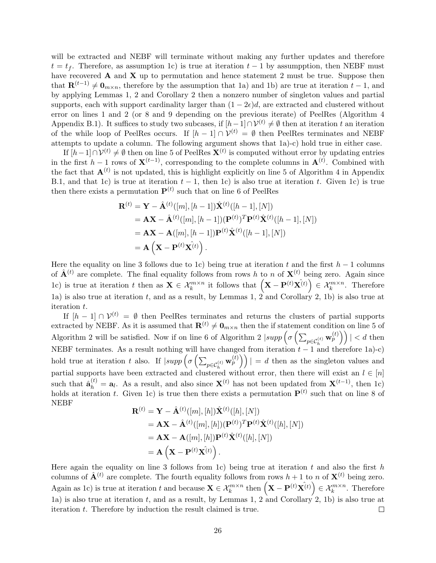will be extracted and NEBF will terminate without making any further updates and therefore  $t = t_f$ . Therefore, as assumption 1c) is true at iteration  $t - 1$  by assumption, then NEBF must have recovered  $A$  and  $X$  up to permutation and hence statement 2 must be true. Suppose then that  $\mathbf{R}^{(t-1)} \neq \mathbf{0}_{m \times n}$ , therefore by the assumption that 1a) and 1b) are true at iteration  $t - 1$ , and by applying Lemmas 1, 2 and Corollary 2 then a nonzero number of singleton values and partial supports, each with support cardinality larger than  $(1 - 2\epsilon)d$ , are extracted and clustered without error on lines 1 and 2 (or 8 and 9 depending on the previous iterate) of PeelRes (Algorithm 4 Appendix B.1). It suffices to study two subcases, if  $[h-1] \cap V^{(t)} \neq \emptyset$  then at iteration t an iteration of the while loop of PeelRes occurs. If  $[h-1] \cap V^{(t)} = \emptyset$  then PeelRes terminates and NEBF attempts to update a column. The following argument shows that 1a)-c) hold true in either case.

If  $[h-1] \cap \mathcal{V}^{(t)} \neq \emptyset$  then on line 5 of PeelRes  $\mathbf{X}^{(t)}$  is computed without error by updating entries in the first  $h-1$  rows of  $\mathbf{X}^{(t-1)}$ , corresponding to the complete columns in  $\mathbf{A}^{(t)}$ . Combined with the fact that  $\mathbf{A}^{(t)}$  is not updated, this is highlight explicitly on line 5 of Algorithm 4 in Appendix B.1, and that 1c) is true at iteration  $t - 1$ , then 1c) is also true at iteration t. Given 1c) is true then there exists a permutation  $P<sup>(t)</sup>$  such that on line 6 of PeelRes

$$
\mathbf{R}^{(t)} = \mathbf{Y} - \hat{\mathbf{A}}^{(t)}([m], [h-1])\hat{\mathbf{X}}^{(t)}([h-1], [N])
$$
  
=  $\mathbf{A}\mathbf{X} - \hat{\mathbf{A}}^{(t)}([m], [h-1])(\mathbf{P}^{(t)})^T \mathbf{P}^{(t)} \hat{\mathbf{X}}^{(t)}([h-1], [N])$   
=  $\mathbf{A}\mathbf{X} - \mathbf{A}([m], [h-1])\mathbf{P}^{(t)} \hat{\mathbf{X}}^{(t)}([h-1], [N])$   
=  $\mathbf{A} (\mathbf{X} - \mathbf{P}^{(t)} \hat{\mathbf{X}}^{(t)})$ .

Here the equality on line 3 follows due to 1c) being true at iteration t and the first  $h-1$  columns of  $\hat{\mathbf{A}}^{(t)}$  are complete. The final equality follows from rows h to n of  $\mathbf{X}^{(t)}$  being zero. Again since 1c) is true at iteration t then as  $\mathbf{X} \in \mathcal{X}_k^{m \times n}$  it follows that  $\left( \mathbf{X} - \mathbf{P}^{(t)} \hat{\mathbf{X}^{(t)}} \right) \in \mathcal{X}_k^{m \times n}$ . Therefore 1a) is also true at iteration t, and as a result, by Lemmas 1,  $2$  and Corollary 2, 1b) is also true at iteration t.

If  $[h-1] \cap \mathcal{V}^{(t)} = \emptyset$  then PeelRes terminates and returns the clusters of partial supports extracted by NEBF. As it is assumed that  $\mathbf{R}^{(t)} \neq \mathbf{0}_{m \times n}$  then the if statement condition on line 5 of Algorithm 2 will be satisfied. Now if on line 6 of Algorithm 2  $|supp(\sigma\left(\sum_{p\in\mathcal{C}_h^{(t)}} \mathbf{w}_p^{(t)}\right)\right)| < d$  then NEBF terminates. As a result nothing will have changed from iteration  $t - 1$  and therefore 1a)-c) hold true at iteration t also. If  $|supp \left( \sigma \left( \sum_{p \in C_h^{(t)}} \mathbf{w}_p^{(t)} \right) \right)| = d$  then as the singleton values and partial supports have been extracted and clustered without error, then there will exist an  $l \in [n]$ such that  $\hat{\mathbf{a}}_h^{(t)} = \mathbf{a}_l$ . As a result, and also since  $\mathbf{X}^{(t)}$  has not been updated from  $\mathbf{X}^{(t-1)}$ , then 1c) holds at iteration t. Given 1c) is true then there exists a permutation  $P^{(t)}$  such that on line 8 of NEBF

$$
\mathbf{R}^{(t)} = \mathbf{Y} - \hat{\mathbf{A}}^{(t)}([m], [h])\hat{\mathbf{X}}^{(t)}([h], [N])
$$
\n
$$
= \mathbf{A}\mathbf{X} - \hat{\mathbf{A}}^{(t)}([m], [h])(\mathbf{P}^{(t)})^T \mathbf{P}^{(t)}\hat{\mathbf{X}}^{(t)}([h], [N])
$$
\n
$$
= \mathbf{A}\mathbf{X} - \mathbf{A}([m], [h])\mathbf{P}^{(t)}\hat{\mathbf{X}}^{(t)}([h], [N])
$$
\n
$$
= \mathbf{A} \left( \mathbf{X} - \mathbf{P}^{(t)}\hat{\mathbf{X}}^{(t)} \right).
$$

Here again the equality on line 3 follows from 1c) being true at iteration t and also the first h columns of  $\hat{\mathbf{A}}^{(t)}$  are complete. The fourth equality follows from rows  $h+1$  to n of  $\mathbf{X}^{(t)}$  being zero. Again as 1c) is true at iteration t and because  $\mathbf{X} \in \mathcal{X}_k^{m \times n}$  then  $(\mathbf{X} - \mathbf{P}^{(t)} \hat{\mathbf{X}^{(t)}}) \in \mathcal{X}_k^{m \times n}$ . Therefore 1a) is also true at iteration  $t$ , and as a result, by Lemmas 1, 2 and Corollary 2, 1b) is also true at iteration t. Therefore by induction the result claimed is true.  $\Box$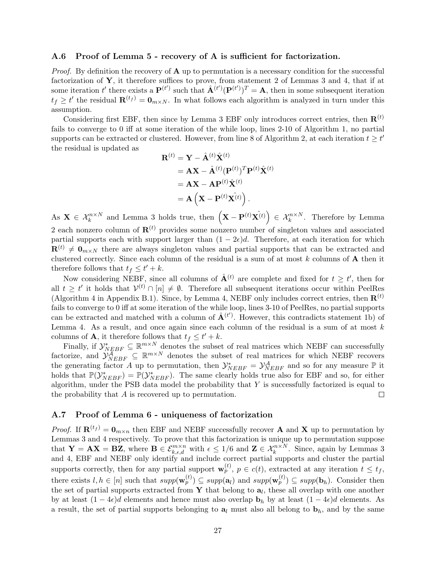#### A.6 Proof of Lemma 5 - recovery of A is sufficient for factorization.

*Proof.* By definition the recovery of  $\bf{A}$  up to permutation is a necessary condition for the successful factorization of Y, it therefore suffices to prove, from statement 2 of Lemmas 3 and 4, that if at some iteration t' there exists a  $\mathbf{P}^{(t')}$  such that  $\hat{\mathbf{A}}^{(t')}(\mathbf{P}^{(t')})^T = \mathbf{A}$ , then in some subsequent iteration  $t_f \geq t'$  the residual  $\mathbf{R}^{(t_f)} = \mathbf{0}_{m \times N}$ . In what follows each algorithm is analyzed in turn under this assumption.

Considering first EBF, then since by Lemma 3 EBF only introduces correct entries, then  $\mathbf{R}^{(t)}$ fails to converge to 0 iff at some iteration of the while loop, lines 2-10 of Algorithm 1, no partial supports can be extracted or clustered. However, from line 8 of Algorithm 2, at each iteration  $t \geq t'$ the residual is updated as

$$
\mathbf{R}^{(t)} = \mathbf{Y} - \hat{\mathbf{A}}^{(t)} \hat{\mathbf{X}}^{(t)}
$$
  
=  $\mathbf{A}\mathbf{X} - \hat{\mathbf{A}}^{(t)} (\mathbf{P}^{(t)})^T \mathbf{P}^{(t)} \hat{\mathbf{X}}^{(t)}$   
=  $\mathbf{A}\mathbf{X} - \mathbf{A}\mathbf{P}^{(t)} \hat{\mathbf{X}}^{(t)}$   
=  $\mathbf{A} (\mathbf{X} - \mathbf{P}^{(t)} \mathbf{X}^{(t)})$ .

As  $\mathbf{X} \in \mathcal{X}_k^{n \times N}$  and Lemma 3 holds true, then  $(\mathbf{X} - \mathbf{P}^{(t)} \hat{\mathbf{X}^{(t)}}) \in \mathcal{X}_k^{n \times N}$ . Therefore by Lemma 2 each nonzero column of  $\mathbf{R}^{(t)}$  provides some nonzero number of singleton values and associated partial supports each with support larger than  $(1 - 2\epsilon)d$ . Therefore, at each iteration for which  $\mathbf{R}^{(t)} \neq \mathbf{0}_{m \times N}$  there are always singleton values and partial supports that can be extracted and clustered correctly. Since each column of the residual is a sum of at most  $k$  columns of  $A$  then it therefore follows that  $t_f \leq t' + k$ .

Now considering NEBF, since all columns of  $\hat{\mathbf{A}}^{(t)}$  are complete and fixed for  $t \geq t'$ , then for all  $t \geq t'$  it holds that  $\mathcal{V}^{(t)} \cap [n] \neq \emptyset$ . Therefore all subsequent iterations occur within PeelRes (Algorithm 4 in Appendix B.1). Since, by Lemma 4, NEBF only includes correct entries, then  $\mathbf{R}^{(t)}$ fails to converge to 0 iff at some iteration of the while loop, lines 3-10 of PeelRes, no partial supports can be extracted and matched with a column of  $\hat{\mathbf{A}}^{(t')}$ . However, this contradicts statement 1b) of Lemma 4. As a result, and once again since each column of the residual is a sum of at most  $k$ columns of **A**, it therefore follows that  $t_f \leq t' + k$ .

Finally, if  $\mathcal{Y}_{NEBF}^* \subseteq \mathbb{R}^{m \times N}$  denotes the subset of real matrices which NEBF can successfully factorize, and  $\mathcal{Y}_{NEBF}^{\mathcal{A}} \subseteq \mathbb{R}^{m \times N}$  denotes the subset of real matrices for which NEBF recovers the generating factor A up to permutation, then  $\mathcal{Y}_{NEBF}^* = \mathcal{Y}_{NEBF}^{\mathcal{A}}$  and so for any measure  $\mathbb{P}$  it holds that  $\mathbb{P}(\mathcal{Y}_{NEBF}^*) = \mathbb{P}(\mathcal{Y}_{NEBF}^*)$ . The same clearly holds true also for EBF and so, for either algorithm, under the PSB data model the probability that  $Y$  is successfully factorized is equal to the probability that A is recovered up to permutation.  $\Box$ 

#### A.7 Proof of Lemma 6 - uniqueness of factorization

*Proof.* If  $\mathbf{R}^{(t_f)} = \mathbf{0}_{m \times n}$  then EBF and NEBF successfully recover **A** and **X** up to permutation by Lemmas 3 and 4 respectively. To prove that this factorization is unique up to permutation suppose that  $\mathbf{Y} = \mathbf{AX} = \mathbf{BZ}$ , where  $\mathbf{B} \in \mathcal{E}_{k,\epsilon,d}^{m \times n}$  with  $\epsilon \leq 1/6$  and  $\mathbf{Z} \in \mathcal{X}_k^{n \times N}$ . Since, again by Lemmas 3 and 4, EBF and NEBF only identify and include correct partial supports and cluster the partial supports correctly, then for any partial support  $\mathbf{w}_p^{(t)}$ ,  $p \in c(t)$ , extracted at any iteration  $t \leq t_f$ , there exists  $l, h \in [n]$  such that  $supp(\mathbf{w}_p^{(t)}) \subseteq supp(\mathbf{a}_l)$  and  $supp(\mathbf{w}_p^{(t)}) \subseteq supp(\mathbf{b}_h)$ . Consider then the set of partial supports extracted from Y that belong to  $a_l$ , these all overlap with one another by at least  $(1 - 4\epsilon)d$  elements and hence must also overlap  $\mathbf{b}_h$  by at least  $(1 - 4\epsilon)d$  elements. As a result, the set of partial supports belonging to  $a_l$  must also all belong to  $b_h$ , and by the same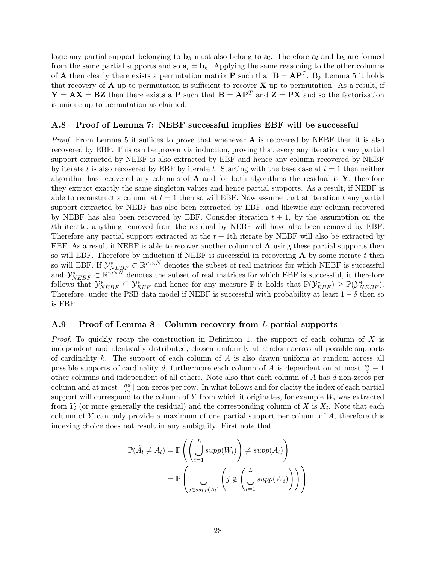logic any partial support belonging to  $\mathbf{b}_h$  must also belong to  $\mathbf{a}_l$ . Therefore  $\mathbf{a}_l$  and  $\mathbf{b}_h$  are formed from the same partial supports and so  $a_l = b_h$ . Applying the same reasoning to the other columns of **A** then clearly there exists a permutation matrix **P** such that  $\mathbf{B} = \mathbf{A}\mathbf{P}^T$ . By Lemma 5 it holds that recovery of  $A$  up to permutation is sufficient to recover  $X$  up to permutation. As a result, if  $Y = AX = BZ$  then there exists a P such that  $B = AP<sup>T</sup>$  and  $Z = PX$  and so the factorization is unique up to permutation as claimed.  $\Box$ 

#### A.8 Proof of Lemma 7: NEBF successful implies EBF will be successful

*Proof.* From Lemma 5 it suffices to prove that whenever  $\bf{A}$  is recovered by NEBF then it is also recovered by EBF. This can be proven via induction, proving that every any iteration  $t$  any partial support extracted by NEBF is also extracted by EBF and hence any column recovered by NEBF by iterate t is also recovered by EBF by iterate t. Starting with the base case at  $t = 1$  then neither algorithm has recovered any columns of  $\bf{A}$  and for both algorithms the residual is  $\bf{Y}$ , therefore they extract exactly the same singleton values and hence partial supports. As a result, if NEBF is able to reconstruct a column at  $t = 1$  then so will EBF. Now assume that at iteration t any partial support extracted by NEBF has also been extracted by EBF, and likewise any column recovered by NEBF has also been recovered by EBF. Consider iteration  $t + 1$ , by the assumption on the tth iterate, anything removed from the residual by NEBF will have also been removed by EBF. Therefore any partial support extracted at the  $t + 1$ th iterate by NEBF will also be extracted by EBF. As a result if NEBF is able to recover another column of A using these partial supports then so will EBF. Therefore by induction if NEBF is successful in recovering  $\bf{A}$  by some iterate t then so will EBF. If  $\mathcal{Y}_{NEBF}^* \subset \mathbb{R}^{m \times N}$  denotes the subset of real matrices for which NEBF is successful and  $\mathcal{Y}_{NEBF}^* \subset \mathbb{R}^{m \times N}$  denotes the subset of real matrices for which EBF is successful, it therefore follows that  $\mathcal{Y}_{NEBF}^* \subseteq \mathcal{Y}_{EBF}^*$  and hence for any measure  $\mathbb{P}$  it holds that  $\mathbb{P}(\mathcal{Y}_{EBF}^*) \geq \mathbb{P}(\mathcal{Y}_{NEBF}^*)$ . Therefore, under the PSB data model if NEBF is successful with probability at least  $1 - \delta$  then so is EBF.  $\Box$ 

#### A.9 Proof of Lemma 8 - Column recovery from L partial supports

*Proof.* To quickly recap the construction in Definition 1, the support of each column of X is independent and identically distributed, chosen uniformly at random across all possible supports of cardinality k. The support of each column of A is also drawn uniform at random across all possible supports of cardinality d, furthermore each column of A is dependent on at most  $\frac{m}{d} - 1$ other columns and independent of all others. Note also that each column of A has d non-zeros per column and at most  $\lceil \frac{nd}{m} \rceil$  $\frac{md}{m}$  non-zeros per row. In what follows and for clarity the index of each partial support will correspond to the column of  $Y$  from which it originates, for example  $W_i$  was extracted from  $Y_i$  (or more generally the residual) and the corresponding column of X is  $X_i$ . Note that each column of Y can only provide a maximum of one partial support per column of  $A$ , therefore this indexing choice does not result in any ambiguity. First note that

$$
\mathbb{P}(\hat{A}_l \neq A_l) = \mathbb{P}\left(\left(\bigcup_{i=1}^L supp(W_i)\right) \neq supp(A_l)\right)
$$

$$
= \mathbb{P}\left(\bigcup_{j \in supp(A_l)} \left(j \notin \left(\bigcup_{i=1}^L supp(W_i)\right)\right)\right)
$$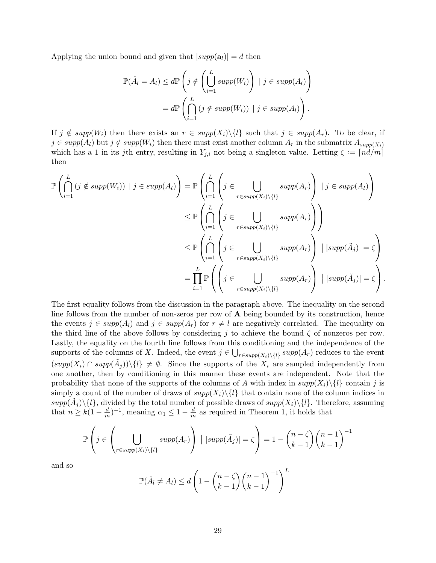Applying the union bound and given that  $|supp(a<sub>l</sub>)| = d$  then

$$
\mathbb{P}(\hat{A}_l = A_l) \le d\mathbb{P}\left(j \notin \left(\bigcup_{i=1}^L supp(W_i)\right) \mid j \in supp(A_l)\right)
$$

$$
= d\mathbb{P}\left(\bigcap_{i=1}^L (j \notin supp(W_i)) \mid j \in supp(A_l)\right).
$$

If  $j \notin supp(W_i)$  then there exists an  $r \in supp(X_i)\setminus\{l\}$  such that  $j \in supp(A_r)$ . To be clear, if  $j \in supp(A_l)$  but  $j \notin supp(W_i)$  then there must exist another column  $A_r$  in the submatrix  $A_{supp(X_i)}$ which has a 1 in its jth entry, resulting in  $Y_{j,i}$  not being a singleton value. Letting  $\zeta := \lceil nd/m \rceil$ then

$$
\mathbb{P}\left(\bigcap_{i=1}^{L} (j \notin supp(W_i)) \mid j \in supp(A_l)\right) = \mathbb{P}\left(\bigcap_{i=1}^{L} \left(j \in \bigcup_{r \in supp(X_i)\setminus\{l\}} supp(A_r)\right) \mid j \in supp(A_l)\right)
$$
  
\n
$$
\leq \mathbb{P}\left(\bigcap_{i=1}^{L} \left(j \in \bigcup_{r \in supp(X_i)\setminus\{l\}} supp(A_r)\right)\right)
$$
  
\n
$$
\leq \mathbb{P}\left(\bigcap_{i=1}^{L} \left(j \in \bigcup_{r \in supp(X_i)\setminus\{l\}} supp(A_r)\right) \mid |supp(\tilde{A}_j)| = \zeta\right)
$$
  
\n
$$
= \prod_{i=1}^{L} \mathbb{P}\left(\left(j \in \bigcup_{r \in supp(X_i)\setminus\{l\}} supp(A_r)\right) \mid |supp(\tilde{A}_j)| = \zeta\right).
$$

The first equality follows from the discussion in the paragraph above. The inequality on the second line follows from the number of non-zeros per row of  $A$  being bounded by its construction, hence the events  $j \in supp(A_l)$  and  $j \in supp(A_r)$  for  $r \neq l$  are negatively correlated. The inequality on the third line of the above follows by considering j to achieve the bound  $\zeta$  of nonzeros per row. Lastly, the equality on the fourth line follows from this conditioning and the independence of the supports of the columns of X. Indeed, the event  $j \in \bigcup_{r \in supp(X_i) \setminus \{l\}} supp(A_r)$  reduces to the event  $(supp(X_i) \cap supp(\tilde{A}_j))\setminus \{l\} \neq \emptyset$ . Since the supports of the  $X_i$  are sampled independently from one another, then by conditioning in this manner these events are independent. Note that the probability that none of the supports of the columns of A with index in  $supp(X_i)\setminus\{l\}$  contain j is simply a count of the number of draws of  $supp(X_i)\setminus\{l\}$  that contain none of the column indices in  $supp(\tilde{A}_j)\setminus\{l\}$ , divided by the total number of possible draws of  $supp(X_i)\setminus\{l\}$ . Therefore, assuming that  $n \geq k(1 - \frac{d}{n})$  $\frac{d}{m}$ )<sup>-1</sup>, meaning  $\alpha_1 \leq 1 - \frac{d}{m}$  $\frac{d}{m}$  as required in Theorem 1, it holds that

$$
\mathbb{P}\left(j \in \left(\bigcup_{r \in supp(X_i)\setminus\{l\}} supp(A_r)\right) \mid |supp(\tilde{A}_j)| = \zeta\right) = 1 - {n - \zeta \choose k - 1}{n - 1 \choose k - 1}^{-1}
$$

and so

$$
\mathbb{P}(\hat{A}_l \neq A_l) \leq d \left(1 - {n - \zeta \choose k - 1} {n - 1 \choose k - 1}^{-1}\right)^L
$$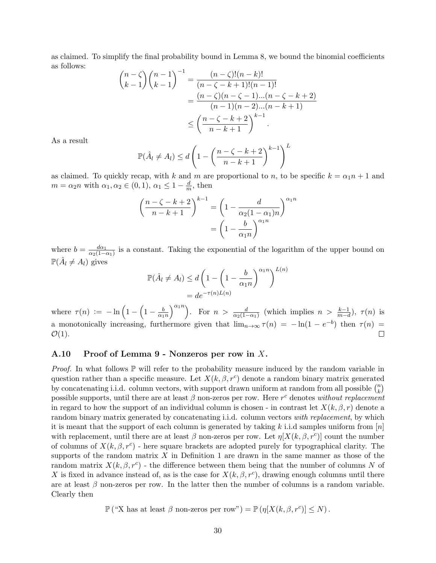as claimed. To simplify the final probability bound in Lemma 8, we bound the binomial coefficients as follows:

$$
\binom{n-\zeta}{k-1}\binom{n-1}{k-1}^{-1} = \frac{(n-\zeta)!(n-k)!}{(n-\zeta-k+1)!(n-1)!}
$$
  
= 
$$
\frac{(n-\zeta)(n-\zeta-1)...(n-\zeta-k+2)}{(n-1)(n-2)...(n-k+1)}
$$
  
\$\leq \left(\frac{n-\zeta-k+2}{n-k+1}\right)^{k-1}.

As a result

$$
\mathbb{P}(\hat{A}_l \neq A_l) \leq d \left( 1 - \left( \frac{n - \zeta - k + 2}{n - k + 1} \right)^{k-1} \right)^L
$$

as claimed. To quickly recap, with k and m are proportional to n, to be specific  $k = \alpha_1 n + 1$  and  $m = \alpha_2 n$  with  $\alpha_1, \alpha_2 \in (0, 1), \alpha_1 \leq 1 - \frac{d}{m}$  $\frac{d}{m}$ , then

$$
\left(\frac{n-\zeta-k+2}{n-k+1}\right)^{k-1} = \left(1 - \frac{d}{\alpha_2(1-\alpha_1)n}\right)^{\alpha_1 n}
$$

$$
= \left(1 - \frac{b}{\alpha_1 n}\right)^{\alpha_1 n}
$$

where  $b = \frac{d\alpha_1}{\alpha_2(1-\alpha)}$  $\frac{d\alpha_1}{\alpha_2(1-\alpha_1)}$  is a constant. Taking the exponential of the logarithm of the upper bound on  $\mathbb{P}(\hat{A}_l \neq A_l)$  gives

$$
\mathbb{P}(\hat{A}_l \neq A_l) \leq d \left( 1 - \left( 1 - \frac{b}{\alpha_1 n} \right)^{\alpha_1 n} \right)^{L(n)}
$$

$$
= de^{-\tau(n)L(n)}
$$

 $\binom{\alpha_1 n}{n}$ . For  $n > \frac{d}{\alpha_2(1-\alpha_1)}$  (which implies  $n > \frac{k-1}{m-d}$ ),  $\tau(n)$  is where  $\tau(n) := -\ln\left(1 - \left(1 - \frac{b}{\alpha}\right)\right)$  $\alpha_1 n$ a monotonically increasing, furthermore given that  $\lim_{n\to\infty} \tau(n) = -\ln(1 - e^{-b})$  then  $\tau(n) =$  $\mathcal{O}(1)$ .  $\Box$ 

### A.10 Proof of Lemma 9 - Nonzeros per row in X.

*Proof.* In what follows  $\mathbb P$  will refer to the probability measure induced by the random variable in question rather than a specific measure. Let  $X(k, \beta, r^c)$  denote a random binary matrix generated by concatenating i.i.d. column vectors, with support drawn uniform at random from all possible  $\binom{n}{k}$  $\binom{n}{k}$ possible supports, until there are at least  $\beta$  non-zeros per row. Here  $r^c$  denotes without replacement in regard to how the support of an individual column is chosen - in contrast let  $X(k, \beta, r)$  denote a random binary matrix generated by concatenating i.i.d. column vectors with replacement, by which it is meant that the support of each column is generated by taking k i.i.d samples uniform from  $[n]$ with replacement, until there are at least  $\beta$  non-zeros per row. Let  $\eta[X(k,\beta,r^c)]$  count the number of columns of  $X(k, \beta, r^c)$  - here square brackets are adopted purely for typographical clarity. The supports of the random matrix  $X$  in Definition 1 are drawn in the same manner as those of the random matrix  $X(k, \beta, r^c)$  - the difference between them being that the number of columns N of X is fixed in advance instead of, as is the case for  $X(k, \beta, r^c)$ , drawing enough columns until there are at least  $\beta$  non-zeros per row. In the latter then the number of columns is a random variable. Clearly then

 $\mathbb{P}(\text{``X has at least }\beta \text{ non-zeros per row''}) = \mathbb{P}(\eta[X(k,\beta,r^c)] \leq N).$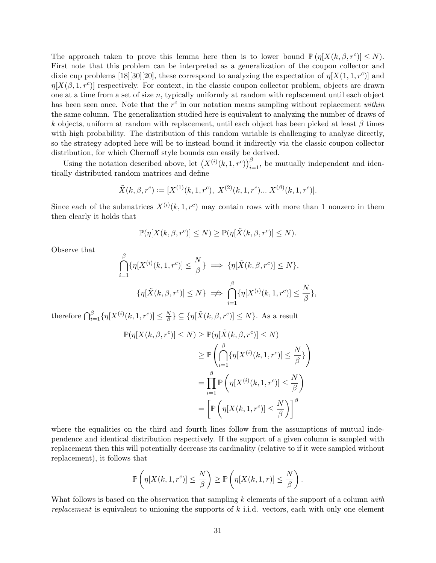The approach taken to prove this lemma here then is to lower bound  $\mathbb{P}(\eta[X(k,\beta,r^c)] \leq N)$ . First note that this problem can be interpreted as a generalization of the coupon collector and dixie cup problems [18][30][20], these correspond to analyzing the expectation of  $\eta[X(1,1,r^c)]$  and  $\eta[X(\beta,1,r^c)]$  respectively. For context, in the classic coupon collector problem, objects are drawn one at a time from a set of size n, typically uniformly at random with replacement until each object has been seen once. Note that the  $r^c$  in our notation means sampling without replacement within the same column. The generalization studied here is equivalent to analyzing the number of draws of k objects, uniform at random with replacement, until each object has been picked at least  $\beta$  times with high probability. The distribution of this random variable is challenging to analyze directly, so the strategy adopted here will be to instead bound it indirectly via the classic coupon collector distribution, for which Chernoff style bounds can easily be derived.

Using the notation described above, let  $(X^{(i)}(k,1,r^c))_{i=1}^{\beta}$ , be mutually independent and identically distributed random matrices and define

$$
\tilde{X}(k,\beta,r^c) := [X^{(1)}(k,1,r^c), X^{(2)}(k,1,r^c) \dots X^{(\beta)}(k,1,r^c)].
$$

Since each of the submatrices  $X^{(i)}(k,1,r^c)$  may contain rows with more than 1 nonzero in them then clearly it holds that

$$
\mathbb{P}(\eta[X(k,\beta,r^c)] \leq N) \geq \mathbb{P}(\eta[\tilde{X}(k,\beta,r^c)] \leq N).
$$

Observe that

$$
\bigcap_{i=1}^{\beta} \{\eta[X^{(i)}(k,1,r^c)] \leq \frac{N}{\beta}\} \implies \{\eta[\tilde{X}(k,\beta,r^c)] \leq N\},
$$

$$
\{\eta[\tilde{X}(k,\beta,r^c)] \leq N\} \implies \bigcap_{i=1}^{\beta} \{\eta[X^{(i)}(k,1,r^c)] \leq \frac{N}{\beta}\},
$$

therefore  $\bigcap_{i=1}^{\beta} {\{\eta[X^{(i)}(k,1,r^c)] \leq \frac{N}{\beta}}\}$  $\{\frac{N}{\beta}\}\subseteq \{\eta[\tilde{X}(k,\beta,r^c)]\leq N\}$ . As a result

$$
\mathbb{P}(\eta[X(k,\beta,r^c)] \leq N) \geq \mathbb{P}(\eta[\tilde{X}(k,\beta,r^c)] \leq N)
$$
  
\n
$$
\geq \mathbb{P}\left(\bigcap_{i=1}^{\beta} \{\eta[X^{(i)}(k,1,r^c)] \leq \frac{N}{\beta}\}\right)
$$
  
\n
$$
= \prod_{i=1}^{\beta} \mathbb{P}\left(\eta[X^{(i)}(k,1,r^c)] \leq \frac{N}{\beta}\right)
$$
  
\n
$$
= \left[\mathbb{P}\left(\eta[X(k,1,r^c)] \leq \frac{N}{\beta}\right)\right]^{\beta}
$$

where the equalities on the third and fourth lines follow from the assumptions of mutual independence and identical distribution respectively. If the support of a given column is sampled with replacement then this will potentially decrease its cardinality (relative to if it were sampled without replacement), it follows that

$$
\mathbb{P}\left(\eta[X(k,1,r^c)]\leq \frac{N}{\beta}\right)\geq \mathbb{P}\left(\eta[X(k,1,r)]\leq \frac{N}{\beta}\right).
$$

What follows is based on the observation that sampling  $k$  elements of the support of a column with replacement is equivalent to unioning the supports of  $k$  i.i.d. vectors, each with only one element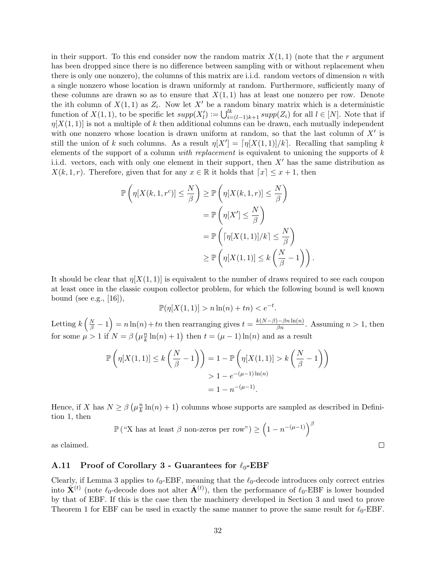in their support. To this end consider now the random matrix  $X(1,1)$  (note that the r argument has been dropped since there is no difference between sampling with or without replacement when there is only one nonzero), the columns of this matrix are i.i.d. random vectors of dimension n with a single nonzero whose location is drawn uniformly at random. Furthermore, sufficiently many of these columns are drawn so as to ensure that  $X(1,1)$  has at least one nonzero per row. Denote the ith column of  $X(1,1)$  as  $Z_i$ . Now let X' be a random binary matrix which is a deterministic function of  $X(1,1)$ , to be specific let  $supp(X'_{l}) := \bigcup_{i=l-1}^{lk} supp(Z_{i})$  for all  $l \in [N]$ . Note that if  $\eta[X(1,1)]$  is not a multiple of k then additional columns can be drawn, each mutually independent with one nonzero whose location is drawn uniform at random, so that the last column of  $X'$  is still the union of k such columns. As a result  $\eta[X'] = \lceil \eta[X(1,1)]/k \rceil$ . Recalling that sampling k elements of the support of a column with replacement is equivalent to unioning the supports of  $k$ i.i.d. vectors, each with only one element in their support, then  $X'$  has the same distribution as  $X(k, 1, r)$ . Therefore, given that for any  $x \in \mathbb{R}$  it holds that  $\lceil x \rceil \leq x + 1$ , then

$$
\mathbb{P}\left(\eta[X(k,1,r^c)] \leq \frac{N}{\beta}\right) \geq \mathbb{P}\left(\eta[X(k,1,r)] \leq \frac{N}{\beta}\right)
$$

$$
= \mathbb{P}\left(\eta[X'] \leq \frac{N}{\beta}\right)
$$

$$
= \mathbb{P}\left(\lceil \eta[X(1,1)]/k \rceil \leq \frac{N}{\beta}\right)
$$

$$
\geq \mathbb{P}\left(\eta[X(1,1)] \leq k\left(\frac{N}{\beta}-1\right)\right).
$$

It should be clear that  $\eta[X(1,1)]$  is equivalent to the number of draws required to see each coupon at least once in the classic coupon collector problem, for which the following bound is well known bound (see e.g.,  $[16]$ ),

$$
\mathbb{P}(\eta[X(1,1)] > n\ln(n) + tn) < e^{-t}.
$$

Letting  $k\left(\frac{N}{\beta}-1\right)=n\ln(n)+tn$  then rearranging gives  $t=\frac{k(N-\beta)-\beta n\ln(n)}{\beta n}$ . Assuming  $n>1$ , then for some  $\mu > 1$  if  $N = \beta \left(\mu \frac{n}{k}\right)$  $\frac{n}{k}\ln(n) + 1$ ) then  $t = (\mu - 1)\ln(n)$  and as a result

$$
\mathbb{P}\left(\eta[X(1,1)] \le k\left(\frac{N}{\beta}-1\right)\right) = 1 - \mathbb{P}\left(\eta[X(1,1)] > k\left(\frac{N}{\beta}-1\right)\right)
$$

$$
> 1 - e^{-(\mu-1)\ln(n)}
$$

$$
= 1 - n^{-(\mu-1)}.
$$

Hence, if X has  $N \geq \beta \left(\mu \frac{n}{k}\right)$  $\frac{n}{k}\ln(n) + 1$ ) columns whose supports are sampled as described in Definition 1, then

$$
\mathbb{P}(\text{``X has at least }\beta \text{ non-zeros per row''}) \ge (1 - n^{-(\mu - 1)})^{\beta}
$$

as claimed.

#### A.11 Proof of Corollary 3 - Guarantees for  $\ell_0$ -EBF

Clearly, if Lemma 3 applies to  $\ell_0$ -EBF, meaning that the  $\ell_0$ -decode introduces only correct entries into  $\hat{\mathbf{X}}^{(t)}$  (note  $\ell_0$ -decode does not alter  $\hat{\mathbf{A}}^{(t)}$ ), then the performance of  $\ell_0$ -EBF is lower bounded by that of EBF. If this is the case then the machinery developed in Section 3 and used to prove Theorem 1 for EBF can be used in exactly the same manner to prove the same result for  $\ell_0$ -EBF.

 $\Box$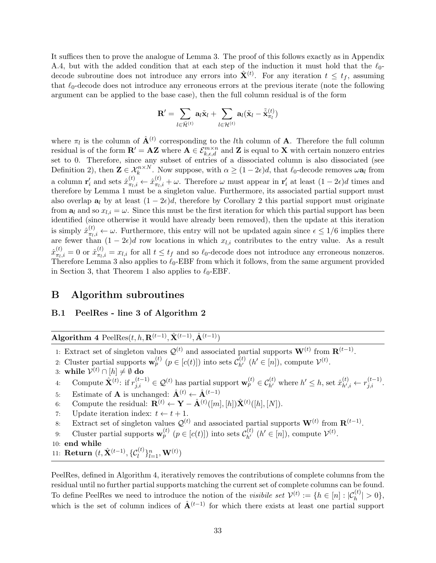It suffices then to prove the analogue of Lemma 3. The proof of this follows exactly as in Appendix A.4, but with the added condition that at each step of the induction it must hold that the  $\ell_0$ decode subroutine does not introduce any errors into  $\hat{\mathbf{X}}^{(t)}$ . For any iteration  $t \leq t_f$ , assuming that  $\ell_0$ -decode does not introduce any erroneous errors at the previous iterate (note the following argument can be applied to the base case), then the full column residual is of the form

$$
\mathbf{R}^{\prime}=\sum_{l\in\tilde{\mathcal{H}}^{(t)}}\mathbf{a}_l\tilde{\mathbf{x}}_l+\sum_{l\in\mathcal{H}^{(t)}}\mathbf{a}_l(\tilde{\mathbf{x}}_l-\tilde{\hat{\mathbf{x}}}_{\pi_l}^{(t)})
$$

where  $\pi_l$  is the column of  $\hat{\mathbf{A}}^{(t)}$  corresponding to the lth column of **A**. Therefore the full column residual is of the form  $\mathbf{R}' = \mathbf{AZ}$  where  $\mathbf{A} \in \mathcal{E}_{k,\epsilon,d}^{m \times n}$  and Z is equal to X with certain nonzero entries set to 0. Therefore, since any subset of entries of a dissociated column is also dissociated (see Definition 2), then  $\mathbf{Z} \in \mathcal{X}_k^{n \times N}$ . Now suppose, with  $\alpha \geq (1 - 2\epsilon)d$ , that  $\ell_0$ -decode removes  $\omega \mathbf{a}_l$  from a column  $\mathbf{r}'_i$  and sets  $\hat{x}^{(t)}_{\pi_l}$  $_{\pi_l,i}^{(t)} \leftarrow \hat{x}_{\pi_l, i}^{(t)}$  $\sigma_{\pi i,i}^{(t)} + \omega$ . Therefore  $\omega$  must appear in  $\mathbf{r}'_i$  at least  $(1 - 2\epsilon)d$  times and therefore by Lemma 1 must be a singleton value. Furthermore, its associated partial support must also overlap  $a_l$  by at least  $(1 - 2\epsilon)d$ , therefore by Corollary 2 this partial support must originate from  $a_l$  and so  $x_{l,i} = \omega$ . Since this must be the first iteration for which this partial support has been identified (since otherwise it would have already been removed), then the update at this iteration is simply  $\hat{x}_{\pi_l}^{(t)}$  $\pi_{l,i} \leftarrow \omega$ . Furthermore, this entry will not be updated again since  $\epsilon \leq 1/6$  implies there are fewer than  $(1 - 2\epsilon)d$  row locations in which  $x_{l,i}$  contributes to the entry value. As a result  $\hat{x}^{(t)}_{\pi_L}$  $\frac{d^{(t)}}{\pi_l, i} = 0$  or  $\hat{x}^{(t)}_{\pi_l, i}$  $\tau_{\alpha,i}^{(t)} = x_{l,i}$  for all  $t \leq t_f$  and so  $\ell_0$ -decode does not introduce any erroneous nonzeros. Therefore Lemma 3 also applies to  $\ell_0$ -EBF from which it follows, from the same argument provided in Section 3, that Theorem 1 also applies to  $\ell_0$ -EBF.

# B Algorithm subroutines

#### B.1 PeelRes - line 3 of Algorithm 2

Algorithm 4 PeelRes $(t, h, \mathbf{R}^{(t-1)}, \hat{\mathbf{X}}^{(t-1)}, \hat{\mathbf{A}}^{(t-1)})$ 

- 1: Extract set of singleton values  $\mathcal{Q}^{(t)}$  and associated partial supports  $\mathbf{W}^{(t)}$  from  $\mathbf{R}^{(t-1)}$ .
- 2: Cluster partial supports  $\mathbf{w}_p^{(t)}$   $(p \in [c(t)])$  into sets  $\mathcal{C}_{h'}^{(t)}$   $(h' \in [n])$ , compute  $\mathcal{V}^{(t)}$ .
- 3: while  $\mathcal{V}^{(t)} \cap [h] \neq \emptyset$  do
- 4: Compute  $\hat{\mathbf{X}}^{(t)}$ : if  $r_{j,i}^{(t-1)} \in \mathcal{Q}^{(t)}$  has partial support  $\mathbf{w}_p^{(t)} \in \mathcal{C}_{h'}^{(t)}$  where  $h' \leq h$ , set  $\hat{x}_{h',h'}^{(t)}$  $h'_{n,i} \leftarrow r_{j,i}^{(t-1)}.$
- 5: Estimate of **A** is unchanged:  $\hat{\mathbf{A}}^{(t)} \leftarrow \hat{\mathbf{A}}^{(t-1)}$
- 6: Compute the residual:  $\mathbf{R}^{(t)} \leftarrow \mathbf{Y} \hat{\mathbf{A}}^{(t)}([m], [h]) \hat{\mathbf{X}}^{(t)}([h], [N]).$
- 7: Update iteration index:  $t \leftarrow t + 1$ .
- 8: Extract set of singleton values  $\mathcal{Q}^{(t)}$  and associated partial supports  $\mathbf{W}^{(t)}$  from  $\mathbf{R}^{(t-1)}$ .
- 9: Cluster partial supports  $\mathbf{w}_p^{(t)}$   $(p \in [c(t)])$  into sets  $\mathcal{C}_{h'}^{(t)}$   $(h' \in [n])$ , compute  $\mathcal{V}^{(t)}$ .
- 10: end while
- 11:  $\mathbf{Return}\ (t, \hat{\mathbf{X}}^{(t-1)}, \{\mathcal{C}_l^{(t)}\}_{l=1}^{n}, \mathbf{W}^{(t)})$

PeelRes, defined in Algorithm 4, iteratively removes the contributions of complete columns from the residual until no further partial supports matching the current set of complete columns can be found. To define PeelRes we need to introduce the notion of the *visibile set*  $\mathcal{V}^{(t)} := \{h \in [n] : |\mathcal{C}_h^{(t)}| > 0\},\$ which is the set of column indices of  $\hat{A}^{(t-1)}$  for which there exists at least one partial support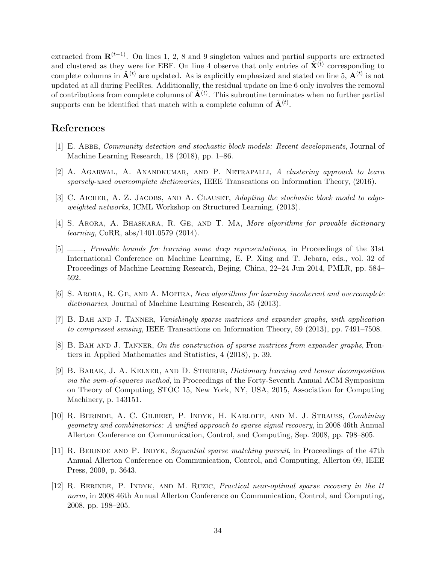extracted from  $\mathbf{R}^{(t-1)}$ . On lines 1, 2, 8 and 9 singleton values and partial supports are extracted and clustered as they were for EBF. On line 4 observe that only entries of  $\hat{\mathbf{X}}^{(t)}$  corresponding to complete columns in  $\hat{A}^{(t)}$  are updated. As is explicitly emphasized and stated on line 5,  $A^{(t)}$  is not updated at all during PeelRes. Additionally, the residual update on line 6 only involves the removal of contributions from complete columns of  $\hat{A}^{(t)}$ . This subroutine terminates when no further partial supports can be identified that match with a complete column of  $\hat{\mathbf{A}}^{(t)}$ .

# References

- [1] E. Abbe, Community detection and stochastic block models: Recent developments, Journal of Machine Learning Research, 18 (2018), pp. 1–86.
- [2] A. Agarwal, A. Anandkumar, and P. Netrapalli, A clustering approach to learn sparsely-used overcomplete dictionaries, IEEE Transcations on Information Theory, (2016).
- [3] C. AICHER, A. Z. JACOBS, AND A. CLAUSET, Adapting the stochastic block model to edgeweighted networks, ICML Workshop on Structured Learning, (2013).
- [4] S. Arora, A. Bhaskara, R. Ge, and T. Ma, More algorithms for provable dictionary learning, CoRR, abs/1401.0579 (2014).
- [5] , Provable bounds for learning some deep representations, in Proceedings of the 31st International Conference on Machine Learning, E. P. Xing and T. Jebara, eds., vol. 32 of Proceedings of Machine Learning Research, Bejing, China, 22–24 Jun 2014, PMLR, pp. 584– 592.
- [6] S. Arora, R. Ge, and A. Moitra, New algorithms for learning incoherent and overcomplete dictionaries, Journal of Machine Learning Research, 35 (2013).
- [7] B. Bah and J. Tanner, Vanishingly sparse matrices and expander graphs, with application to compressed sensing, IEEE Transactions on Information Theory, 59 (2013), pp. 7491–7508.
- [8] B. BAH AND J. TANNER, On the construction of sparse matrices from expander graphs, Frontiers in Applied Mathematics and Statistics, 4 (2018), p. 39.
- [9] B. Barak, J. A. Kelner, and D. Steurer, Dictionary learning and tensor decomposition via the sum-of-squares method, in Proceedings of the Forty-Seventh Annual ACM Symposium on Theory of Computing, STOC 15, New York, NY, USA, 2015, Association for Computing Machinery, p. 143151.
- [10] R. Berinde, A. C. Gilbert, P. Indyk, H. Karloff, and M. J. Strauss, Combining geometry and combinatorics: A unified approach to sparse signal recovery, in 2008 46th Annual Allerton Conference on Communication, Control, and Computing, Sep. 2008, pp. 798–805.
- [11] R. Berinde and P. Indyk, Sequential sparse matching pursuit, in Proceedings of the 47th Annual Allerton Conference on Communication, Control, and Computing, Allerton 09, IEEE Press, 2009, p. 3643.
- [12] R. Berinde, P. Indyk, and M. Ruzic, Practical near-optimal sparse recovery in the l1 norm, in 2008 46th Annual Allerton Conference on Communication, Control, and Computing, 2008, pp. 198–205.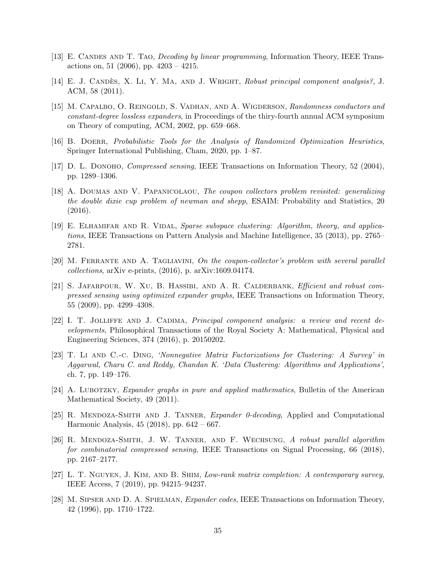- [13] E. CANDES AND T. TAO, *Decoding by linear programming*, Information Theory, IEEE Transactions on, 51 (2006), pp. 4203 – 4215.
- [14] E. J. CANDÈS, X. LI, Y. MA, AND J. WRIGHT, Robust principal component analysis?, J. ACM, 58 (2011).
- [15] M. Capalbo, O. Reingold, S. Vadhan, and A. Wigderson, Randomness conductors and constant-degree lossless expanders, in Proceedings of the thiry-fourth annual ACM symposium on Theory of computing, ACM, 2002, pp. 659–668.
- [16] B. Doerr, Probabilistic Tools for the Analysis of Randomized Optimization Heuristics, Springer International Publishing, Cham, 2020, pp. 1–87.
- [17] D. L. DONOHO, *Compressed sensing*, IEEE Transactions on Information Theory, 52 (2004), pp. 1289–1306.
- [18] A. DOUMAS AND V. PAPANICOLAOU, The coupon collectors problem revisited: generalizing the double dixie cup problem of newman and shepp, ESAIM: Probability and Statistics, 20 (2016).
- [19] E. Elhamifar and R. Vidal, Sparse subspace clustering: Algorithm, theory, and applications, IEEE Transactions on Pattern Analysis and Machine Intelligence, 35 (2013), pp. 2765– 2781.
- [20] M. Ferrante and A. Tagliavini, On the coupon-collector's problem with several parallel collections, arXiv e-prints, (2016), p. arXiv:1609.04174.
- [21] S. Jafarpour, W. Xu, B. Hassibi, and A. R. Calderbank, Efficient and robust compressed sensing using optimized expander graphs, IEEE Transactions on Information Theory, 55 (2009), pp. 4299–4308.
- [22] I. T. Jolliffe and J. Cadima, Principal component analysis: a review and recent developments, Philosophical Transactions of the Royal Society A: Mathematical, Physical and Engineering Sciences, 374 (2016), p. 20150202.
- [23] T. Li and C.-c. Ding, 'Nonnegative Matrix Factorizations for Clustering: A Survey' in Aggarwal, Charu C. and Reddy, Chandan K. 'Data Clustering: Algorithms and Applications', ch. 7, pp. 149–176.
- [24] A. LUBOTZKY, *Expander graphs in pure and applied mathematics*, Bulletin of the American Mathematical Society, 49 (2011).
- [25] R. MENDOZA-SMITH AND J. TANNER, Expander 0-decoding, Applied and Computational Harmonic Analysis, 45 (2018), pp. 642 – 667.
- [26] R. Mendoza-Smith, J. W. Tanner, and F. Wechsung, A robust parallel algorithm for combinatorial compressed sensing, IEEE Transactions on Signal Processing, 66 (2018), pp. 2167–2177.
- [27] L. T. Nguyen, J. Kim, and B. Shim, Low-rank matrix completion: A contemporary survey, IEEE Access, 7 (2019), pp. 94215–94237.
- [28] M. Sipser and D. A. Spielman, Expander codes, IEEE Transactions on Information Theory, 42 (1996), pp. 1710–1722.